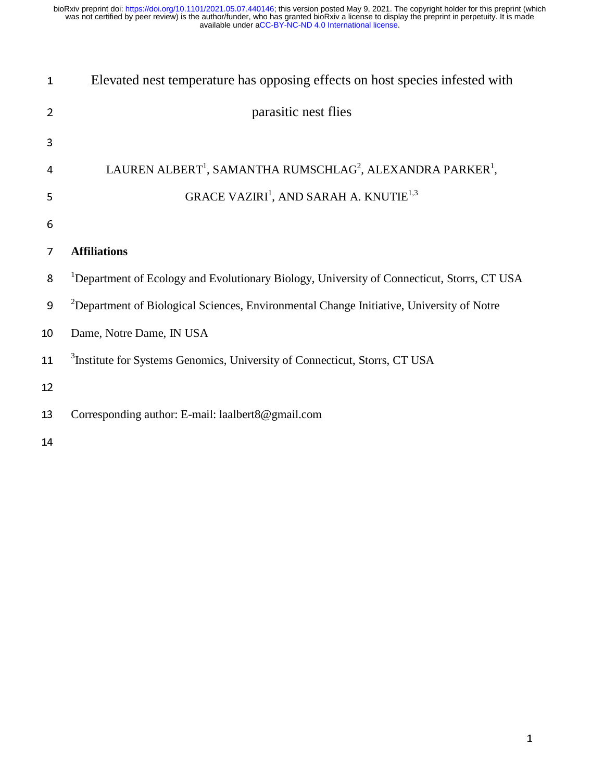| $\mathbf{1}$   | Elevated nest temperature has opposing effects on host species infested with                           |
|----------------|--------------------------------------------------------------------------------------------------------|
| $\overline{2}$ | parasitic nest flies                                                                                   |
| 3              |                                                                                                        |
| 4              | LAUREN ALBERT <sup>1</sup> , SAMANTHA RUMSCHLAG <sup>2</sup> , ALEXANDRA PARKER <sup>1</sup> ,         |
| 5              | GRACE VAZIRI <sup>1</sup> , AND SARAH A. KNUTIE <sup>1,3</sup>                                         |
| 6              |                                                                                                        |
| 7              | <b>Affiliations</b>                                                                                    |
| 8              | <sup>1</sup> Department of Ecology and Evolutionary Biology, University of Connecticut, Storrs, CT USA |
| 9              | <sup>2</sup> Department of Biological Sciences, Environmental Change Initiative, University of Notre   |
| 10             | Dame, Notre Dame, IN USA                                                                               |
| 11             | <sup>3</sup> Institute for Systems Genomics, University of Connecticut, Storrs, CT USA                 |
| 12             |                                                                                                        |
| 13             | Corresponding author: E-mail: laalbert8@gmail.com                                                      |
| 14             |                                                                                                        |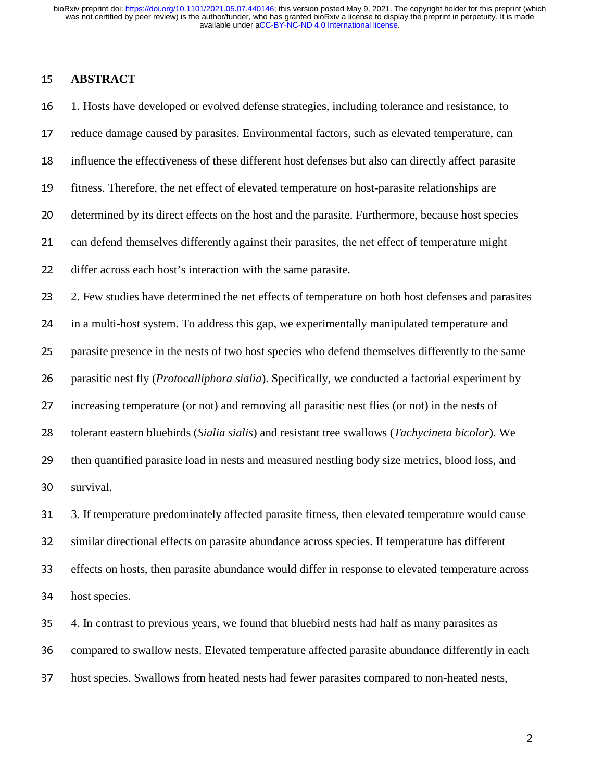### <sup>15</sup>**ABSTRACT**

<sup>16</sup>1. Hosts have developed or evolved defense strategies, including tolerance and resistance, to 17 reduce damage caused by parasites. Environmental factors, such as elevated temperature, can 18 influence the effectiveness of these different host defenses but also can directly affect parasite 19 fitness. Therefore, the net effect of elevated temperature on host-parasite relationships are 20 determined by its direct effects on the host and the parasite. Furthermore, because host species 21 can defend themselves differently against their parasites, the net effect of temperature might 22 differ across each host's interaction with the same parasite. 23 2. Few studies have determined the net effects of temperature on both host defenses and parasites 24 in a multi-host system. To address this gap, we experimentally manipulated temperature and 25 parasite presence in the nests of two host species who defend themselves differently to the same 26 parasitic nest fly (*Protocalliphora sialia*). Specifically, we conducted a factorial experiment by 27 increasing temperature (or not) and removing all parasitic nest flies (or not) in the nests of <sup>28</sup>tolerant eastern bluebirds (*Sialia sialis*) and resistant tree swallows (*Tachycineta bicolor*). We 29 then quantified parasite load in nests and measured nestling body size metrics, blood loss, and 30 survival. 31 3. If temperature predominately affected parasite fitness, then elevated temperature would cause 32 similar directional effects on parasite abundance across species. If temperature has different 33 effects on hosts, then parasite abundance would differ in response to elevated temperature across 34 host species. 35 4. In contrast to previous years, we found that bluebird nests had half as many parasites as

36 compared to swallow nests. Elevated temperature affected parasite abundance differently in each

37 host species. Swallows from heated nests had fewer parasites compared to non-heated nests,

<u>2002: A contract of the contract of the contract of the contract of the contract of the contract of the contract of the contract of the contract of the contract of the contract of the contract of the contract of the contr</u>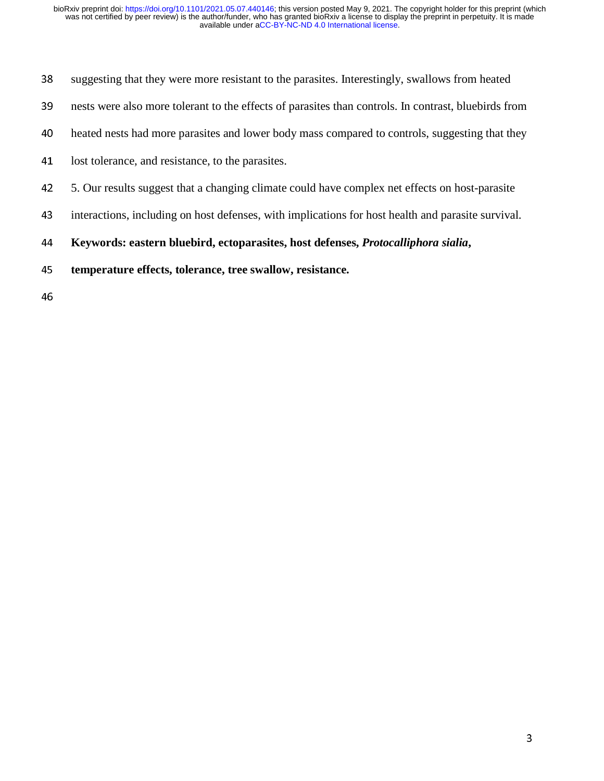- 38 suggesting that they were more resistant to the parasites. Interestingly, swallows from heated
- 39 nests were also more tolerant to the effects of parasites than controls. In contrast, bluebirds from
- 40 heated nests had more parasites and lower body mass compared to controls, suggesting that they
- 41 lost tolerance, and resistance, to the parasites.
- <sup>42</sup>5. Our results suggest that a changing climate could have complex net effects on host-parasite
- 43 interactions, including on host defenses, with implications for host health and parasite survival.

<sup>44</sup>**Keywords: eastern bluebird, ectoparasites, host defenses,** *Protocalliphora sialia***,** 

- <sup>45</sup>**temperature effects, tolerance, tree swallow, resistance.**
- 46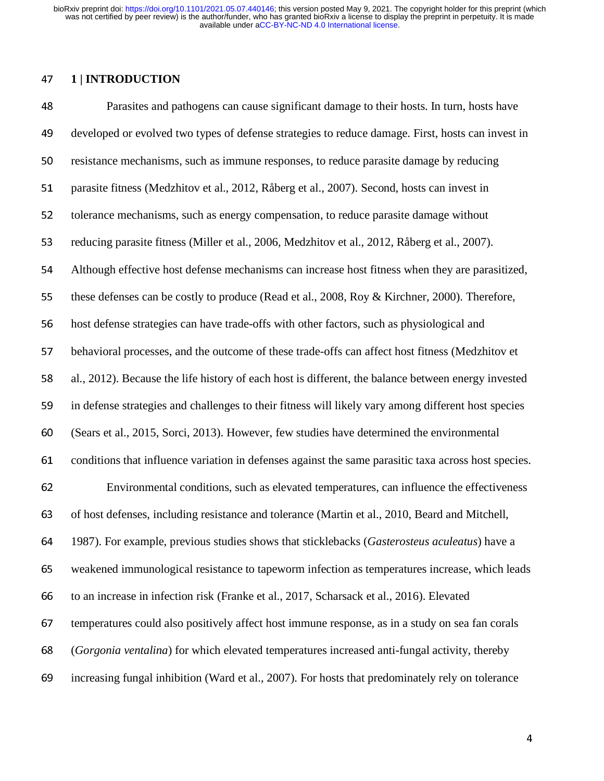#### <sup>47</sup>**1 | INTRODUCTION**

<sup>48</sup>Parasites and pathogens can cause significant damage to their hosts. In turn, hosts have 49 developed or evolved two types of defense strategies to reduce damage. First, hosts can invest in 50 resistance mechanisms, such as immune responses, to reduce parasite damage by reducing 51 parasite fitness (Medzhitov et al., 2012, Råberg et al., 2007). Second, hosts can invest in 52 tolerance mechanisms, such as energy compensation, to reduce parasite damage without 53 reducing parasite fitness (Miller et al., 2006, Medzhitov et al., 2012, Råberg et al., 2007). <sup>54</sup>Although effective host defense mechanisms can increase host fitness when they are parasitized, 55 these defenses can be costly to produce (Read et al., 2008, Roy & Kirchner, 2000). Therefore, 56 host defense strategies can have trade-offs with other factors, such as physiological and 57 behavioral processes, and the outcome of these trade-offs can affect host fitness (Medzhitov et 58 al., 2012). Because the life history of each host is different, the balance between energy invested 59 in defense strategies and challenges to their fitness will likely vary among different host species <sup>60</sup>(Sears et al., 2015, Sorci, 2013). However, few studies have determined the environmental 61 conditions that influence variation in defenses against the same parasitic taxa across host species. <sup>62</sup>Environmental conditions, such as elevated temperatures, can influence the effectiveness 63 of host defenses, including resistance and tolerance (Martin et al., 2010, Beard and Mitchell, <sup>64</sup>1987). For example, previous studies shows that sticklebacks (*Gasterosteus aculeatus*) have a 65 weakened immunological resistance to tapeworm infection as temperatures increase, which leads 66 to an increase in infection risk (Franke et al., 2017, Scharsack et al., 2016). Elevated 67 temperatures could also positively affect host immune response, as in a study on sea fan corals <sup>68</sup>(*Gorgonia ventalina*) for which elevated temperatures increased anti-fungal activity, thereby 69 increasing fungal inhibition (Ward et al., 2007). For hosts that predominately rely on tolerance

de la construcción de la construcción de la construcción de la construcción de la construcción de la construcc<br>A la construcción de la construcción de la construcción de la construcción de la construcción de la construcci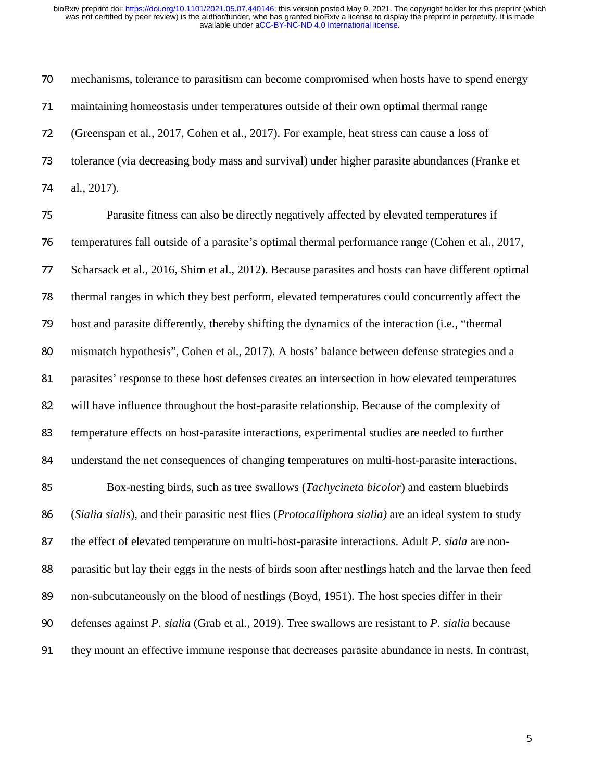70 mechanisms, tolerance to parasitism can become compromised when hosts have to spend energy <sup>71</sup>maintaining homeostasis under temperatures outside of their own optimal thermal range <sup>72</sup>(Greenspan et al., 2017, Cohen et al., 2017). For example, heat stress can cause a loss of 73 tolerance (via decreasing body mass and survival) under higher parasite abundances (Franke et 74 al., 2017).

275 Parasite fitness can also be directly negatively affected by elevated temperatures if 76 temperatures fall outside of a parasite's optimal thermal performance range (Cohen et al., 2017, <sup>77</sup>Scharsack et al., 2016, Shim et al., 2012). Because parasites and hosts can have different optimal <sup>78</sup>thermal ranges in which they best perform, elevated temperatures could concurrently affect the 79 host and parasite differently, thereby shifting the dynamics of the interaction (i.e., "thermal") 80 mismatch hypothesis", Cohen et al., 2017). A hosts' balance between defense strategies and a 81 parasites' response to these host defenses creates an intersection in how elevated temperatures 82 will have influence throughout the host-parasite relationship. Because of the complexity of 83 temperature effects on host-parasite interactions, experimental studies are needed to further 84 understand the net consequences of changing temperatures on multi-host-parasite interactions. 85 Box-nesting birds, such as tree swallows (*Tachycineta bicolor*) and eastern bluebirds <sup>86</sup>(*Sialia sialis*)*,* and their parasitic nest flies (*Protocalliphora sialia)* are an ideal system to study 87 the effect of elevated temperature on multi-host-parasite interactions. Adult *P. siala* are non-88 parasitic but lay their eggs in the nests of birds soon after nestlings hatch and the larvae then feed 89 non-subcutaneously on the blood of nestlings (Boyd, 1951). The host species differ in their 90 defenses against *P. sialia* (Grab et al., 2019). Tree swallows are resistant to *P. sialia* because 91 they mount an effective immune response that decreases parasite abundance in nests. In contrast,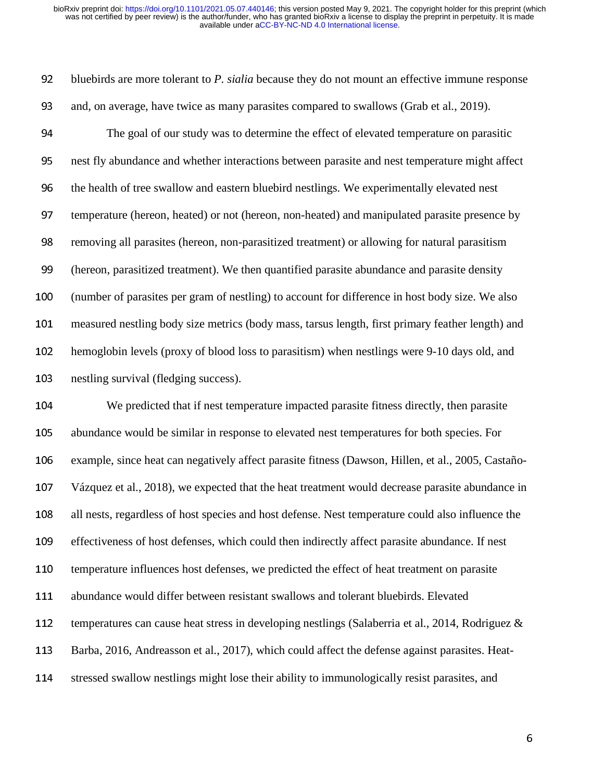92 bluebirds are more tolerant to *P. sialia* because they do not mount an effective immune response 93 and, on average, have twice as many parasites compared to swallows (Grab et al., 2019).

94 The goal of our study was to determine the effect of elevated temperature on parasitic 95 nest fly abundance and whether interactions between parasite and nest temperature might affect 96 the health of tree swallow and eastern bluebird nestlings. We experimentally elevated nest 97 temperature (hereon, heated) or not (hereon, non-heated) and manipulated parasite presence by 98 removing all parasites (hereon, non-parasitized treatment) or allowing for natural parasitism <sup>99</sup>(hereon, parasitized treatment). We then quantified parasite abundance and parasite density <sup>100</sup>(number of parasites per gram of nestling) to account for difference in host body size. We also 101 measured nestling body size metrics (body mass, tarsus length, first primary feather length) and 102 hemoglobin levels (proxy of blood loss to parasitism) when nestlings were 9-10 days old, and 103 nestling survival (fledging success).

<sup>104</sup>We predicted that if nest temperature impacted parasite fitness directly, then parasite 105 abundance would be similar in response to elevated nest temperatures for both species. For 106 example, since heat can negatively affect parasite fitness (Dawson, Hillen, et al., 2005, Castaño-107 Vázquez et al., 2018), we expected that the heat treatment would decrease parasite abundance in 108 all nests, regardless of host species and host defense. Nest temperature could also influence the 109 effectiveness of host defenses, which could then indirectly affect parasite abundance. If nest 110 temperature influences host defenses, we predicted the effect of heat treatment on parasite 111 abundance would differ between resistant swallows and tolerant bluebirds. Elevated 112 temperatures can cause heat stress in developing nestlings (Salaberria et al., 2014, Rodriguez  $\&$ 113 Barba, 2016, Andreasson et al., 2017), which could affect the defense against parasites. Heat-114 stressed swallow nestlings might lose their ability to immunologically resist parasites, and

 $\overline{\phantom{a}}$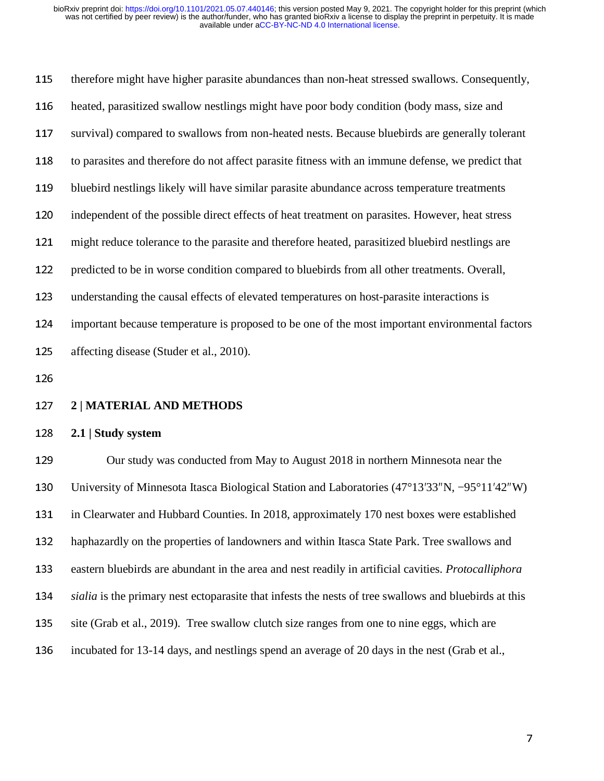| 115               | therefore might have higher parasite abundances than non-heat stressed swallows. Consequently,      |
|-------------------|-----------------------------------------------------------------------------------------------------|
| 116               | heated, parasitized swallow nestlings might have poor body condition (body mass, size and           |
| 117               | survival) compared to swallows from non-heated nests. Because bluebirds are generally tolerant      |
| 118               | to parasites and therefore do not affect parasite fitness with an immune defense, we predict that   |
| 119               | bluebird nestlings likely will have similar parasite abundance across temperature treatments        |
| 120               | independent of the possible direct effects of heat treatment on parasites. However, heat stress     |
| 121               | might reduce tolerance to the parasite and therefore heated, parasitized bluebird nestlings are     |
| 122               | predicted to be in worse condition compared to bluebirds from all other treatments. Overall,        |
| 123               | understanding the causal effects of elevated temperatures on host-parasite interactions is          |
| 124               | important because temperature is proposed to be one of the most important environmental factors     |
| 125               | affecting disease (Studer et al., 2010).                                                            |
| 126               |                                                                                                     |
|                   |                                                                                                     |
|                   | 2   MATERIAL AND METHODS                                                                            |
|                   | 2.1   Study system                                                                                  |
| 127<br>128<br>129 | Our study was conducted from May to August 2018 in northern Minnesota near the                      |
| 130               | University of Minnesota Itasca Biological Station and Laboratories (47°13'33"N, -95°11'42"W)        |
| 131               | in Clearwater and Hubbard Counties. In 2018, approximately 170 nest boxes were established          |
| 132               | haphazardly on the properties of landowners and within Itasca State Park. Tree swallows and         |
| 133               | eastern bluebirds are abundant in the area and nest readily in artificial cavities. Protocalliphora |

- 135 site (Grab et al., 2019). Tree swallow clutch size ranges from one to nine eggs, which are
- 136 incubated for 13-14 days, and nestlings spend an average of 20 days in the nest (Grab et al.,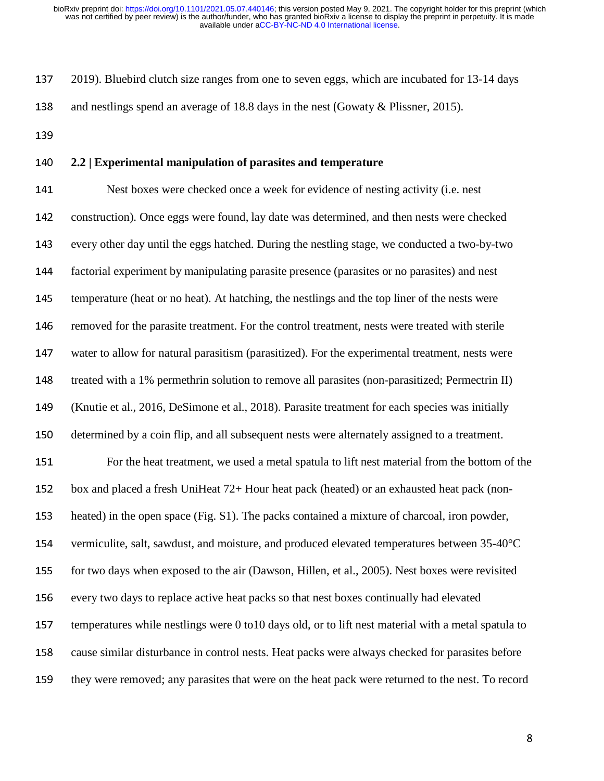137 2019). Bluebird clutch size ranges from one to seven eggs, which are incubated for 13-14 days 138 and nestlings spend an average of 18.8 days in the nest (Gowaty & Plissner, 2015).

139

## <sup>140</sup>**2.2 | Experimental manipulation of parasites and temperature**

141 Nest boxes were checked once a week for evidence of nesting activity (i.e. nest 142 construction). Once eggs were found, lay date was determined, and then nests were checked 143 every other day until the eggs hatched. During the nestling stage, we conducted a two-by-two 144 factorial experiment by manipulating parasite presence (parasites or no parasites) and nest 145 temperature (heat or no heat). At hatching, the nestlings and the top liner of the nests were 146 removed for the parasite treatment. For the control treatment, nests were treated with sterile 147 water to allow for natural parasitism (parasitized). For the experimental treatment, nests were 148 treated with a 1% permethrin solution to remove all parasities (non-parasitized; Permectrin II) 149 (Knutie et al., 2016, DeSimone et al., 2018). Parasite treatment for each species was initially 150 determined by a coin flip, and all subsequent nests were alternately assigned to a treatment. 151 For the heat treatment, we used a metal spatula to lift nest material from the bottom of the 152 box and placed a fresh UniHeat 72+ Hour heat pack (heated) or an exhausted heat pack (non-153 heated) in the open space (Fig. S1). The packs contained a mixture of charcoal, iron powder, 154 vermiculite, salt, sawdust, and moisture, and produced elevated temperatures between  $35-40^{\circ}$ C 155 for two days when exposed to the air (Dawson, Hillen, et al., 2005). Nest boxes were revisited 156 every two days to replace active heat packs so that nest boxes continually had elevated 157 temperatures while nestlings were 0 to10 days old, or to lift nest material with a metal spatula to <sup>158</sup>cause similar disturbance in control nests. Heat packs were always checked for parasites before 159 they were removed; any parasites that were on the heat pack were returned to the nest. To record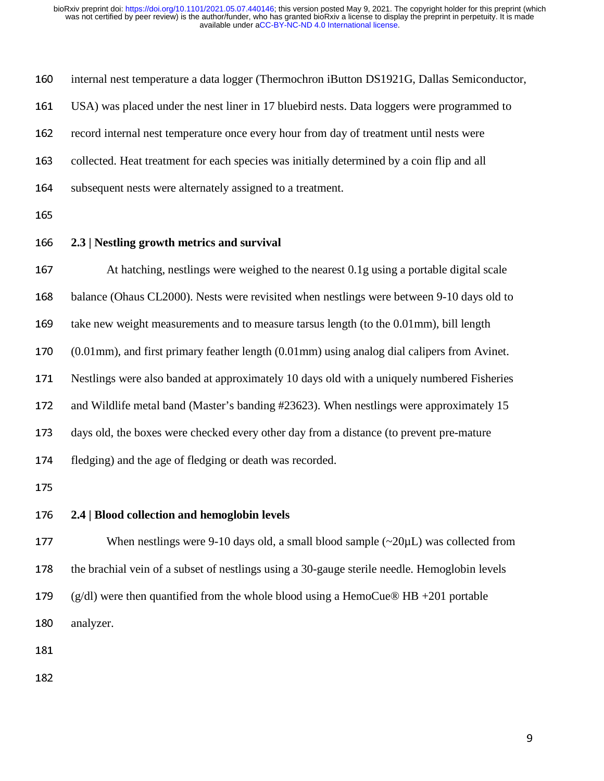| 160 | internal nest temperature a data logger (Thermochron iButton DS1921G, Dallas Semiconductor,             |
|-----|---------------------------------------------------------------------------------------------------------|
| 161 | USA) was placed under the nest liner in 17 bluebird nests. Data loggers were programmed to              |
| 162 | record internal nest temperature once every hour from day of treatment until nests were                 |
| 163 | collected. Heat treatment for each species was initially determined by a coin flip and all              |
| 164 | subsequent nests were alternately assigned to a treatment.                                              |
| 165 |                                                                                                         |
| 166 | 2.3   Nestling growth metrics and survival                                                              |
| 167 | At hatching, nestlings were weighed to the nearest 0.1g using a portable digital scale                  |
| 168 | balance (Ohaus CL2000). Nests were revisited when nestlings were between 9-10 days old to               |
| 169 | take new weight measurements and to measure tarsus length (to the 0.01mm), bill length                  |
| 170 | $(0.01$ mm), and first primary feather length $(0.01$ mm) using analog dial calipers from Avinet.       |
| 171 | Nestlings were also banded at approximately 10 days old with a uniquely numbered Fisheries              |
| 172 | and Wildlife metal band (Master's banding #23623). When nestlings were approximately 15                 |
| 173 | days old, the boxes were checked every other day from a distance (to prevent pre-mature                 |
| 174 | fledging) and the age of fledging or death was recorded.                                                |
| 175 |                                                                                                         |
| 176 | 2.4   Blood collection and hemoglobin levels                                                            |
| 177 | When nestlings were 9-10 days old, a small blood sample $\left(\sim 20 \mu L\right)$ was collected from |
| 178 | the brachial vein of a subset of nestlings using a 30-gauge sterile needle. Hemoglobin levels           |
| 179 | $(g/dl)$ were then quantified from the whole blood using a HemoCue® HB +201 portable                    |
| 180 | analyzer.                                                                                               |
| 181 |                                                                                                         |
| 182 |                                                                                                         |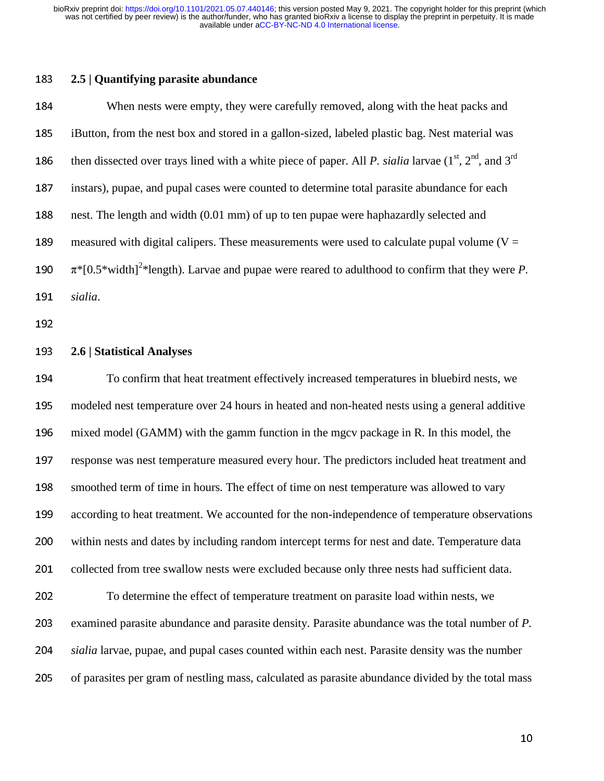### <sup>183</sup>**2.5 | Quantifying parasite abundance**

<sup>184</sup>When nests were empty, they were carefully removed, along with the heat packs and 185 iButton, from the nest box and stored in a gallon-sized, labeled plastic bag. Nest material was 186 then dissected over trays lined with a white piece of paper. All *P. sialia* larvae  $(1^{st}, 2^{nd},$  and  $3^{rd}$ 187 instars), pupae, and pupal cases were counted to determine total parasite abundance for each 188 nest. The length and width (0.01 mm) of up to ten pupae were haphazardly selected and 189 measured with digital calipers. These measurements were used to calculate pupal volume ( $V =$ 190  $\pi$ <sup>\*</sup>[0.5<sup>\*</sup>width]<sup>2\*</sup>length). Larvae and pupae were reared to adulthood to confirm that they were *P*. <sup>191</sup>*sialia*.

192

#### <sup>193</sup>**2.6 | Statistical Analyses**

<sup>194</sup>To confirm that heat treatment effectively increased temperatures in bluebird nests, we <sup>195</sup>modeled nest temperature over 24 hours in heated and non-heated nests using a general additive 196 mixed model (GAMM) with the gamm function in the mgcv package in R. In this model, the 197 response was nest temperature measured every hour. The predictors included heat treatment and 198 smoothed term of time in hours. The effect of time on nest temperature was allowed to vary 199 according to heat treatment. We accounted for the non-independence of temperature observations 200 within nests and dates by including random intercept terms for nest and date. Temperature data 201 collected from tree swallow nests were excluded because only three nests had sufficient data. <sup>202</sup>To determine the effect of temperature treatment on parasite load within nests, we 203 examined parasite abundance and parasite density. Parasite abundance was the total number of *P*. <sup>204</sup>*sialia* larvae, pupae, and pupal cases counted within each nest. Parasite density was the number 205 of parasites per gram of nestling mass, calculated as parasite abundance divided by the total mass

 $10<sub>10</sub>$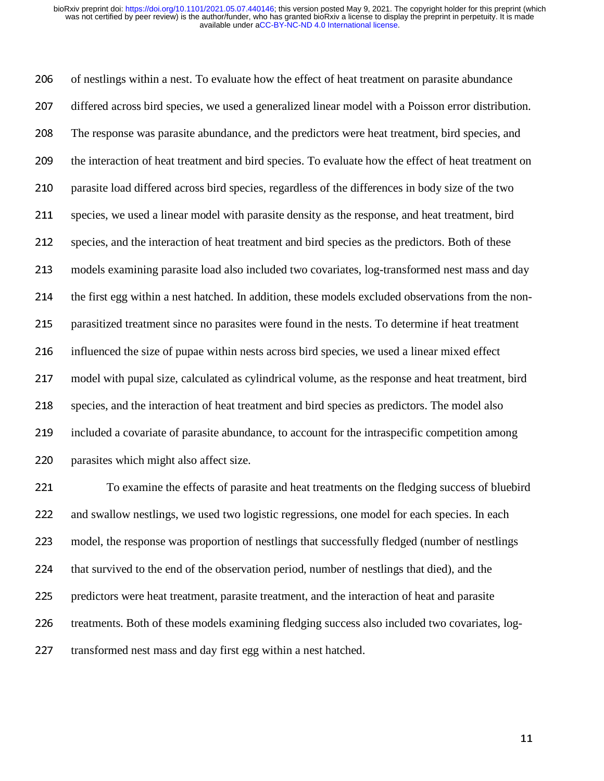206 of nestlings within a nest. To evaluate how the effect of heat treatment on parasite abundance 207 differed across bird species, we used a generalized linear model with a Poisson error distribution. <sup>208</sup>The response was parasite abundance, and the predictors were heat treatment, bird species, and 209 the interaction of heat treatment and bird species. To evaluate how the effect of heat treatment on 210 parasite load differed across bird species, regardless of the differences in body size of the two 211 species, we used a linear model with parasite density as the response, and heat treatment, bird 212 species, and the interaction of heat treatment and bird species as the predictors. Both of these 213 models examining parasite load also included two covariates, log-transformed nest mass and day 214 the first egg within a nest hatched. In addition, these models excluded observations from the non-215 parasitized treatment since no parasites were found in the nests. To determine if heat treatment 216 influenced the size of pupae within nests across bird species, we used a linear mixed effect 217 model with pupal size, calculated as cylindrical volume, as the response and heat treatment, bird 218 species, and the interaction of heat treatment and bird species as predictors. The model also 219 included a covariate of parasite abundance, to account for the intraspecific competition among 220 parasites which might also affect size.

221 To examine the effects of parasite and heat treatments on the fledging success of bluebird 222 and swallow nestlings, we used two logistic regressions, one model for each species. In each <sup>223</sup>model, the response was proportion of nestlings that successfully fledged (number of nestlings 224 that survived to the end of the observation period, number of nestlings that died), and the 225 predictors were heat treatment, parasite treatment, and the interaction of heat and parasite 226 treatments. Both of these models examining fledging success also included two covariates, log-227 transformed nest mass and day first egg within a nest hatched.

the contract of the contract of the contract of the contract of the contract of the contract of the contract o<br>The contract of the contract of the contract of the contract of the contract of the contract of the contract o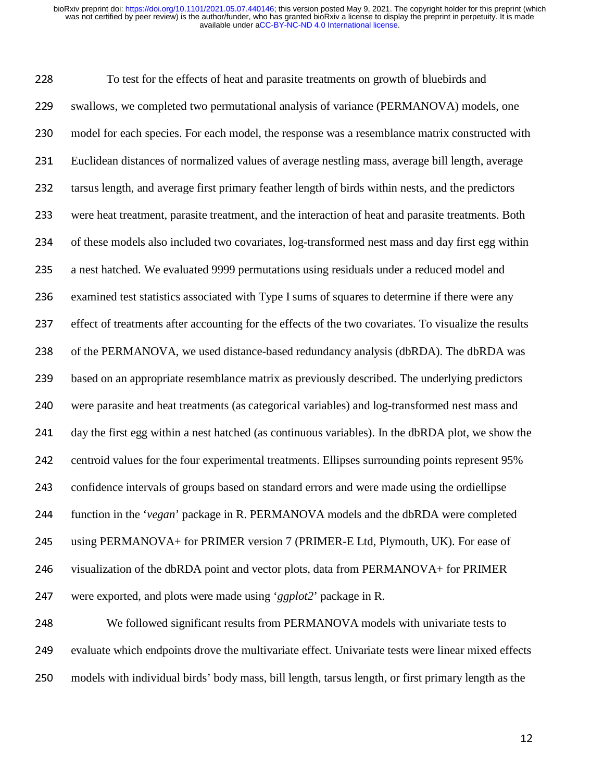228 To test for the effects of heat and parasite treatments on growth of bluebirds and 229 swallows, we completed two permutational analysis of variance (PERMANOVA) models, one <sup>230</sup>model for each species. For each model, the response was a resemblance matrix constructed with <sup>231</sup>Euclidean distances of normalized values of average nestling mass, average bill length, average 232 tarsus length, and average first primary feather length of birds within nests, and the predictors <sup>233</sup>were heat treatment, parasite treatment, and the interaction of heat and parasite treatments. Both 234 of these models also included two covariates, log-transformed nest mass and day first egg within 235 a nest hatched. We evaluated 9999 permutations using residuals under a reduced model and 236 examined test statistics associated with Type I sums of squares to determine if there were any 237 effect of treatments after accounting for the effects of the two covariates. To visualize the results 238 of the PERMANOVA, we used distance-based redundancy analysis (dbRDA). The dbRDA was 239 based on an appropriate resemblance matrix as previously described. The underlying predictors <sup>240</sup>were parasite and heat treatments (as categorical variables) and log-transformed nest mass and 241 day the first egg within a nest hatched (as continuous variables). In the dbRDA plot, we show the 242 centroid values for the four experimental treatments. Ellipses surrounding points represent 95% 243 confidence intervals of groups based on standard errors and were made using the ordiellipse 244 function in the '*vegan*' package in R. PERMANOVA models and the dbRDA were completed 245 using PERMANOVA+ for PRIMER version 7 (PRIMER-E Ltd, Plymouth, UK). For ease of 246 visualization of the dbRDA point and vector plots, data from PERMANOVA+ for PRIMER 247 were exported, and plots were made using '*ggplot2*' package in R.

248 We followed significant results from PERMANOVA models with univariate tests to 249 evaluate which endpoints drove the multivariate effect. Univariate tests were linear mixed effects 250 models with individual birds' body mass, bill length, tarsus length, or first primary length as the

 $12$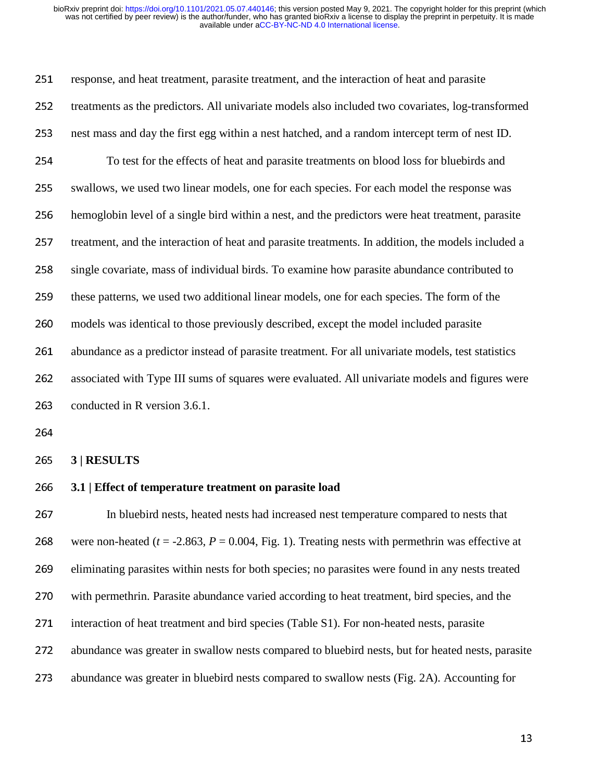251 response, and heat treatment, parasite treatment, and the interaction of heat and parasite 252 treatments as the predictors. All univariate models also included two covariates, log-transformed 253 nest mass and day the first egg within a nest hatched, and a random intercept term of nest ID. 254 To test for the effects of heat and parasite treatments on blood loss for bluebirds and 255 swallows, we used two linear models, one for each species. For each model the response was 256 hemoglobin level of a single bird within a nest, and the predictors were heat treatment, parasite 257 treatment, and the interaction of heat and parasite treatments. In addition, the models included a 258 single covariate, mass of individual birds. To examine how parasite abundance contributed to 259 these patterns, we used two additional linear models, one for each species. The form of the 260 models was identical to those previously described, except the model included parasite 261 abundance as a predictor instead of parasite treatment. For all univariate models, test statistics 262 associated with Type III sums of squares were evaluated. All univariate models and figures were 263 conducted in R version 3.6.1.

264

<sup>265</sup>**3 | RESULTS** 

#### <sup>266</sup>**3.1 | Effect of temperature treatment on parasite load**

267 In bluebird nests, heated nests had increased nest temperature compared to nests that 268 were non-heated ( $t = -2.863$ ,  $P = 0.004$ , Fig. 1). Treating nests with permethrin was effective at 269 eliminating parasites within nests for both species; no parasites were found in any nests treated 270 with permethrin. Parasite abundance varied according to heat treatment, bird species, and the 271 interaction of heat treatment and bird species (Table S1). For non-heated nests, parasite 272 abundance was greater in swallow nests compared to bluebird nests, but for heated nests, parasite 273 abundance was greater in bluebird nests compared to swallow nests (Fig. 2A). Accounting for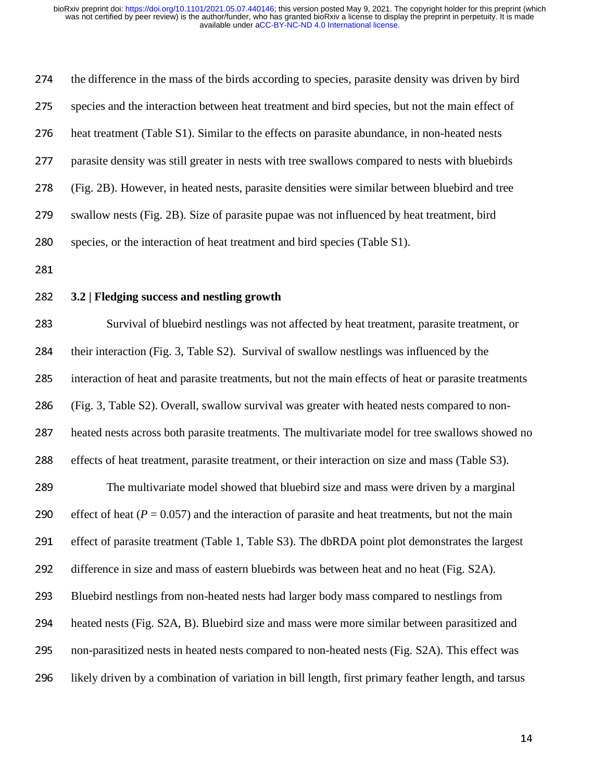| 274 | the difference in the mass of the birds according to species, parasite density was driven by bird    |
|-----|------------------------------------------------------------------------------------------------------|
| 275 | species and the interaction between heat treatment and bird species, but not the main effect of      |
| 276 | heat treatment (Table S1). Similar to the effects on parasite abundance, in non-heated nests         |
| 277 | parasite density was still greater in nests with tree swallows compared to nests with bluebirds      |
| 278 | (Fig. 2B). However, in heated nests, parasite densities were similar between bluebird and tree       |
| 279 | swallow nests (Fig. 2B). Size of parasite pupae was not influenced by heat treatment, bird           |
| 280 | species, or the interaction of heat treatment and bird species (Table S1).                           |
| 281 |                                                                                                      |
| 282 | 3.2   Fledging success and nestling growth                                                           |
| 283 | Survival of bluebird nestlings was not affected by heat treatment, parasite treatment, or            |
| 284 | their interaction (Fig. 3, Table S2). Survival of swallow nestlings was influenced by the            |
| 285 | interaction of heat and parasite treatments, but not the main effects of heat or parasite treatments |
| 286 | (Fig. 3, Table S2). Overall, swallow survival was greater with heated nests compared to non-         |
| 287 | heated nests across both parasite treatments. The multivariate model for tree swallows showed no     |
| 288 | effects of heat treatment, parasite treatment, or their interaction on size and mass (Table S3).     |
| 289 | The multivariate model showed that bluebird size and mass were driven by a marginal                  |
| 290 | effect of heat ( $P = 0.057$ ) and the interaction of parasite and heat treatments, but not the main |
| 291 | effect of parasite treatment (Table 1, Table S3). The dbRDA point plot demonstrates the largest      |
| 292 | difference in size and mass of eastern bluebirds was between heat and no heat (Fig. S2A).            |
| 293 | Bluebird nestlings from non-heated nests had larger body mass compared to nestlings from             |
| 294 | heated nests (Fig. S2A, B). Bluebird size and mass were more similar between parasitized and         |
| 295 | non-parasitized nests in heated nests compared to non-heated nests (Fig. S2A). This effect was       |
| 296 | likely driven by a combination of variation in bill length, first primary feather length, and tarsus |
|     |                                                                                                      |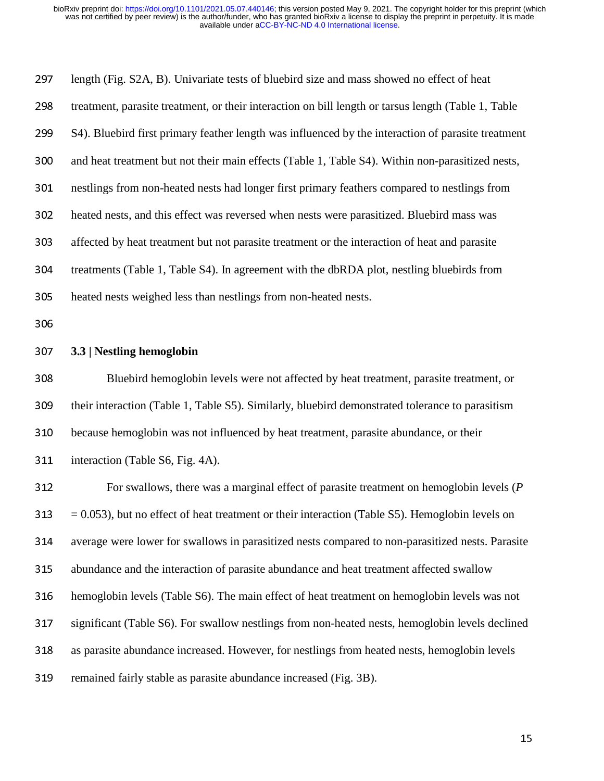297 length (Fig. S2A, B). Univariate tests of bluebird size and mass showed no effect of heat 298 treatment, parasite treatment, or their interaction on bill length or tarsus length (Table 1, Table 299 S4). Bluebird first primary feather length was influenced by the interaction of parasite treatment 300 and heat treatment but not their main effects (Table 1, Table S4). Within non-parasitized nests, 301 nestlings from non-heated nests had longer first primary feathers compared to nestlings from 302 heated nests, and this effect was reversed when nests were parasitized. Bluebird mass was <sup>303</sup>affected by heat treatment but not parasite treatment or the interaction of heat and parasite 304 treatments (Table 1, Table S4). In agreement with the dbRDA plot, nestling bluebirds from 305 heated nests weighed less than nestlings from non-heated nests.

306

#### <sup>307</sup>**3.3 | Nestling hemoglobin**

308 Bluebird hemoglobin levels were not affected by heat treatment, parasite treatment, or 309 their interaction (Table 1, Table S5). Similarly, bluebird demonstrated tolerance to parasitism 310 because hemoglobin was not influenced by heat treatment, parasite abundance, or their 311 interaction (Table S6, Fig. 4A).

For swallows, there was a marginal effect of parasite treatment on hemoglobin levels (*P*  $313 = 0.053$ , but no effect of heat treatment or their interaction (Table S5). Hemoglobin levels on 314 average were lower for swallows in parasitized nests compared to non-parasitized nests. Parasite 315 abundance and the interaction of parasite abundance and heat treatment affected swallow 316 hemoglobin levels (Table S6). The main effect of heat treatment on hemoglobin levels was not 317 significant (Table S6). For swallow nestlings from non-heated nests, hemoglobin levels declined 318 as parasite abundance increased. However, for nestlings from heated nests, hemoglobin levels 319 remained fairly stable as parasite abundance increased (Fig. 3B).

 $15$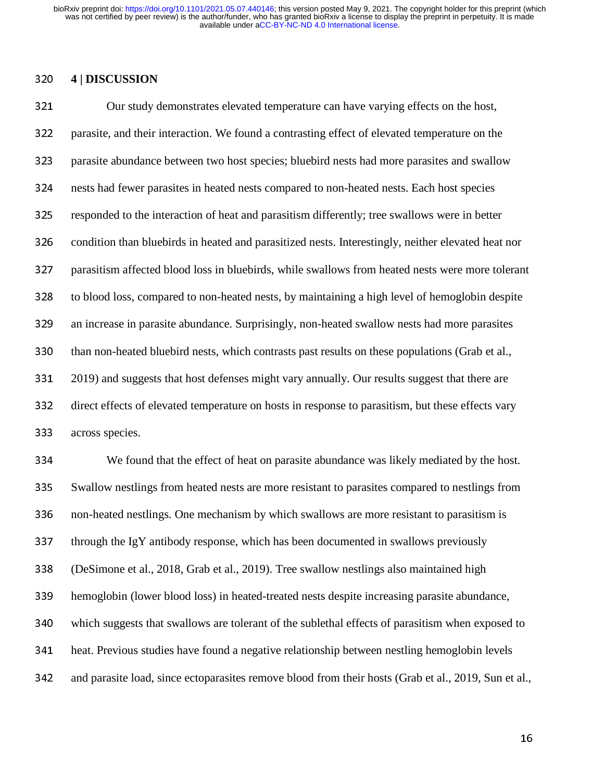#### <sup>320</sup>**4 | DISCUSSION**

321 Our study demonstrates elevated temperature can have varying effects on the host, 322 parasite, and their interaction. We found a contrasting effect of elevated temperature on the 323 parasite abundance between two host species; bluebird nests had more parasites and swallow 324 nests had fewer parasites in heated nests compared to non-heated nests. Each host species <sup>325</sup>responded to the interaction of heat and parasitism differently; tree swallows were in better 326 condition than bluebirds in heated and parasitized nests. Interestingly, neither elevated heat nor 327 parasitism affected blood loss in bluebirds, while swallows from heated nests were more tolerant 328 to blood loss, compared to non-heated nests, by maintaining a high level of hemoglobin despite 329 an increase in parasite abundance. Surprisingly, non-heated swallow nests had more parasites 330 than non-heated bluebird nests, which contrasts past results on these populations (Grab et al., 331 2019) and suggests that host defenses might vary annually. Our results suggest that there are 332 direct effects of elevated temperature on hosts in response to parasitism, but these effects vary 333 across species.

<sup>334</sup>We found that the effect of heat on parasite abundance was likely mediated by the host. 335 Swallow nestlings from heated nests are more resistant to parasites compared to nestlings from 336 non-heated nestlings. One mechanism by which swallows are more resistant to parasitism is  $337$  through the IgY antibody response, which has been documented in swallows previously <sup>338</sup>(DeSimone et al., 2018, Grab et al., 2019). Tree swallow nestlings also maintained high 339 hemoglobin (lower blood loss) in heated-treated nests despite increasing parasite abundance, 340 which suggests that swallows are tolerant of the sublethal effects of parasitism when exposed to 341 heat. Previous studies have found a negative relationship between nestling hemoglobin levels 342 and parasite load, since ectoparasites remove blood from their hosts (Grab et al., 2019, Sun et al.,

 $16$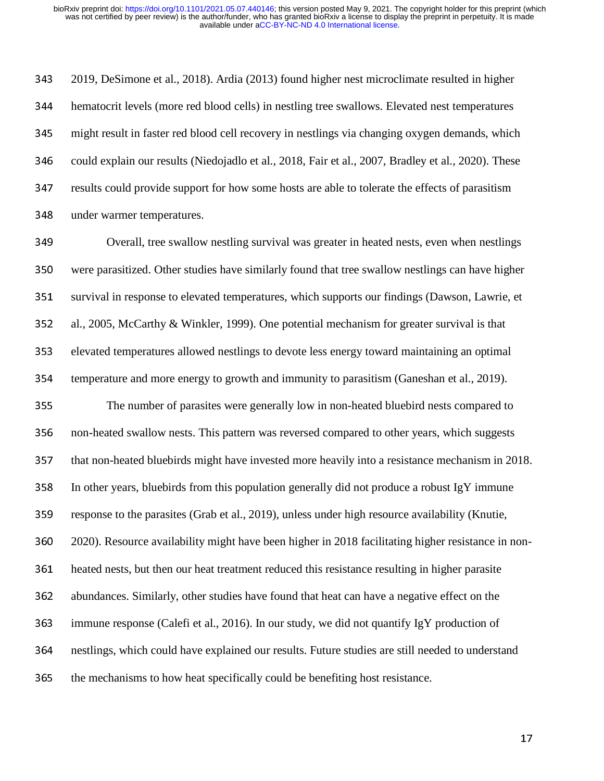<sup>343</sup>2019, DeSimone et al., 2018). Ardia (2013) found higher nest microclimate resulted in higher <sup>344</sup>hematocrit levels (more red blood cells) in nestling tree swallows. Elevated nest temperatures 345 might result in faster red blood cell recovery in nestlings via changing oxygen demands, which 346 could explain our results (Niedojadlo et al., 2018, Fair et al., 2007, Bradley et al., 2020). These 347 results could provide support for how some hosts are able to tolerate the effects of parasitism 348 under warmer temperatures.

349 Overall, tree swallow nestling survival was greater in heated nests, even when nestlings 350 were parasitized. Other studies have similarly found that tree swallow nestlings can have higher 351 survival in response to elevated temperatures, which supports our findings (Dawson, Lawrie, et 352 al., 2005, McCarthy & Winkler, 1999). One potential mechanism for greater survival is that 353 elevated temperatures allowed nestlings to devote less energy toward maintaining an optimal 354 temperature and more energy to growth and immunity to parasitism (Ganeshan et al., 2019).

<sup>355</sup>The number of parasites were generally low in non-heated bluebird nests compared to 356 non-heated swallow nests. This pattern was reversed compared to other years, which suggests 357 that non-heated bluebirds might have invested more heavily into a resistance mechanism in 2018.  $358$  In other years, bluebirds from this population generally did not produce a robust IgY immune 359 response to the parasites (Grab et al., 2019), unless under high resource availability (Knutie, 360 2020). Resource availability might have been higher in 2018 facilitating higher resistance in non-361 heated nests, but then our heat treatment reduced this resistance resulting in higher parasite 362 abundances. Similarly, other studies have found that heat can have a negative effect on the 363 immune response (Calefi et al., 2016). In our study, we did not quantify IgY production of 364 nestlings, which could have explained our results. Future studies are still needed to understand 365 the mechanisms to how heat specifically could be benefiting host resistance.

 $\frac{1}{2}$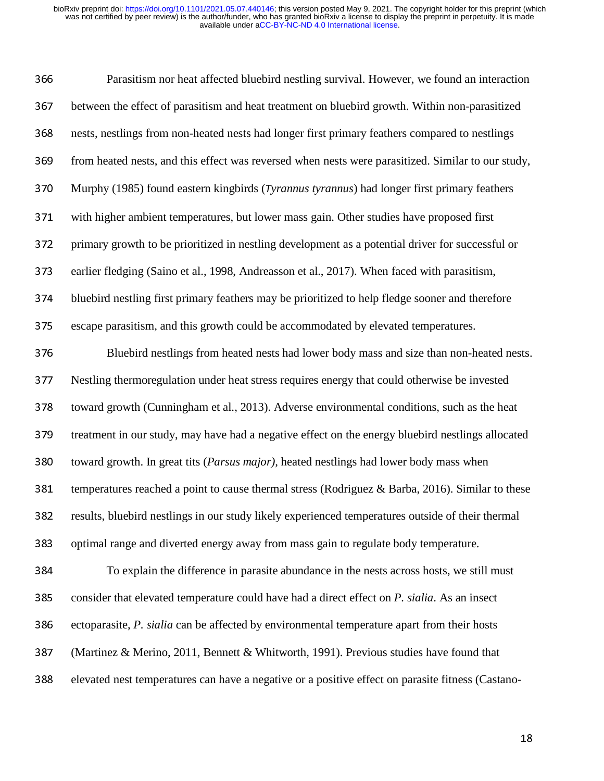366 Parasitism nor heat affected bluebird nestling survival. However, we found an interaction 367 between the effect of parasitism and heat treatment on bluebird growth. Within non-parasitized 368 nests, nestlings from non-heated nests had longer first primary feathers compared to nestlings 369 from heated nests, and this effect was reversed when nests were parasitized. Similar to our study, <sup>370</sup>Murphy (1985) found eastern kingbirds (T*yrannus tyrannus*) had longer first primary feathers 371 with higher ambient temperatures, but lower mass gain. Other studies have proposed first 372 primary growth to be prioritized in nestling development as a potential driver for successful or 373 earlier fledging (Saino et al., 1998, Andreasson et al., 2017). When faced with parasitism, 374 bluebird nestling first primary feathers may be prioritized to help fledge sooner and therefore 375 escape parasitism, and this growth could be accommodated by elevated temperatures. 376 Bluebird nestlings from heated nests had lower body mass and size than non-heated nests. 377 Nestling thermoregulation under heat stress requires energy that could otherwise be invested 378 toward growth (Cunningham et al., 2013). Adverse environmental conditions, such as the heat 379 treatment in our study, may have had a negative effect on the energy bluebird nestlings allocated 380 toward growth. In great tits (*Parsus major*), heated nestlings had lower body mass when 381 temperatures reached a point to cause thermal stress (Rodriguez  $\&$  Barba, 2016). Similar to these 382 results, bluebird nestlings in our study likely experienced temperatures outside of their thermal 383 optimal range and diverted energy away from mass gain to regulate body temperature. <sup>384</sup>To explain the difference in parasite abundance in the nests across hosts, we still must 385 consider that elevated temperature could have had a direct effect on *P. sialia*. As an insect 386 ectoparasite, *P. sialia* can be affected by environmental temperature apart from their hosts 387 (Martinez & Merino, 2011, Bennett & Whitworth, 1991). Previous studies have found that

388 elevated nest temperatures can have a negative or a positive effect on parasite fitness (Castano-

 $18$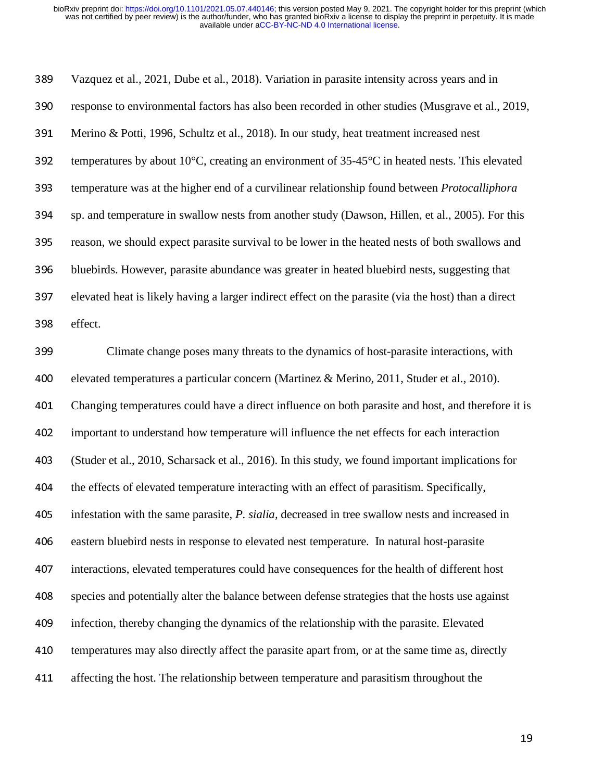389 Vazquez et al., 2021, Dube et al., 2018). Variation in parasite intensity across years and in 390 response to environmental factors has also been recorded in other studies (Musgrave et al., 2019, 391 Merino & Potti, 1996, Schultz et al., 2018). In our study, heat treatment increased nest 392 temperatures by about 10 $^{\circ}$ C, creating an environment of 35-45 $^{\circ}$ C in heated nests. This elevated <sup>393</sup>temperature was at the higher end of a curvilinear relationship found between *Protocalliphora*  394 sp. and temperature in swallow nests from another study (Dawson, Hillen, et al., 2005). For this 395 reason, we should expect parasite survival to be lower in the heated nests of both swallows and 396 bluebirds. However, parasite abundance was greater in heated bluebird nests, suggesting that 397 elevated heat is likely having a larger indirect effect on the parasite (via the host) than a direct 398 effect. <sup>399</sup>Climate change poses many threats to the dynamics of host-parasite interactions, with 400 elevated temperatures a particular concern (Martinez & Merino, 2011, Studer et al., 2010). <sup>401</sup>Changing temperatures could have a direct influence on both parasite and host, and therefore it is <sup>402</sup>important to understand how temperature will influence the net effects for each interaction <sup>403</sup>(Studer et al., 2010, Scharsack et al., 2016). In this study, we found important implications for 404 the effects of elevated temperature interacting with an effect of parasitism. Specifically, <sup>405</sup>infestation with the same parasite, *P. sialia,* decreased in tree swallow nests and increased in 406 eastern bluebird nests in response to elevated nest temperature. In natural host-parasite 407 interactions, elevated temperatures could have consequences for the health of different host <sup>408</sup>species and potentially alter the balance between defense strategies that the hosts use against 409 infection, thereby changing the dynamics of the relationship with the parasite. Elevated 410 temperatures may also directly affect the parasite apart from, or at the same time as, directly 411 affecting the host. The relationship between temperature and parasitism throughout the

 $19<sub>19</sub>$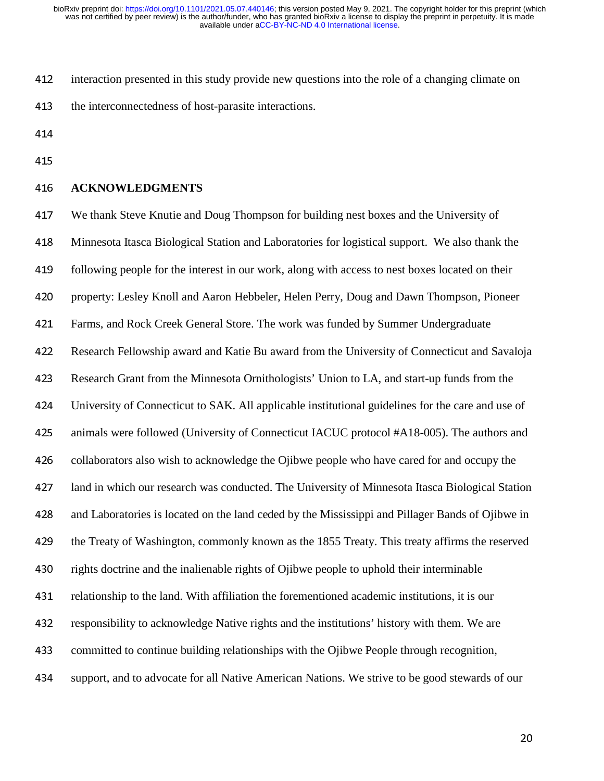- 412 interaction presented in this study provide new questions into the role of a changing climate on
- 413 the interconnectedness of host-parasite interactions.
- 414
- 415

### <sup>416</sup>**ACKNOWLEDGMENTS**

417 We thank Steve Knutie and Doug Thompson for building nest boxes and the University of <sup>418</sup>Minnesota Itasca Biological Station and Laboratories for logistical support. We also thank the 419 following people for the interest in our work, along with access to nest boxes located on their 420 property: Lesley Knoll and Aaron Hebbeler, Helen Perry, Doug and Dawn Thompson, Pioneer 421 Farms, and Rock Creek General Store. The work was funded by Summer Undergraduate <sup>422</sup>Research Fellowship award and Katie Bu award from the University of Connecticut and Savaloja 423 Research Grant from the Minnesota Ornithologists' Union to LA, and start-up funds from the <sup>424</sup>University of Connecticut to SAK. All applicable institutional guidelines for the care and use of 425 animals were followed (University of Connecticut IACUC protocol #A18-005). The authors and 426 collaborators also wish to acknowledge the Ojibwe people who have cared for and occupy the 427 land in which our research was conducted. The University of Minnesota Itasca Biological Station 428 and Laboratories is located on the land ceded by the Mississippi and Pillager Bands of Ojibwe in 429 the Treaty of Washington, commonly known as the 1855 Treaty. This treaty affirms the reserved 430 rights doctrine and the inalienable rights of Ojibwe people to uphold their interminable 431 relationship to the land. With affiliation the forementioned academic institutions, it is our 432 responsibility to acknowledge Native rights and the institutions' history with them. We are 433 committed to continue building relationships with the Ojibwe People through recognition, 434 support, and to advocate for all Native American Nations. We strive to be good stewards of our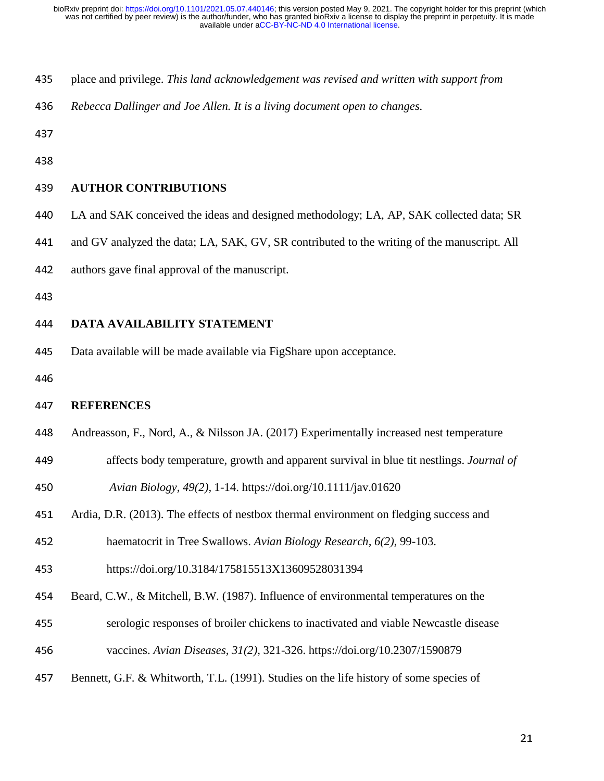- <sup>435</sup>place and privilege. *This land acknowledgement was revised and written with support from*
- <sup>436</sup>*Rebecca Dallinger and Joe Allen. It is a living document open to changes.*

437

438

#### <sup>439</sup>**AUTHOR CONTRIBUTIONS**

- 440 LA and SAK conceived the ideas and designed methodology; LA, AP, SAK collected data; SR
- 441 and GV analyzed the data; LA, SAK, GV, SR contributed to the writing of the manuscript. All
- 442 authors gave final approval of the manuscript.
- 443

### <sup>444</sup>**DATA AVAILABILITY STATEMENT**

- 445 Data available will be made available via FigShare upon acceptance.
- 446

#### <sup>447</sup>**REFERENCES**

- 448 Andreasson, F., Nord, A., & Nilsson JA. (2017) Experimentally increased nest temperature
- <sup>449</sup>affects body temperature, growth and apparent survival in blue tit nestlings. *Journal of*
- <sup>450</sup>*Avian Biology, 49(2),* 1-14. https://doi.org/10.1111/jav.01620
- 451 Ardia, D.R. (2013). The effects of nestbox thermal environment on fledging success and
- <sup>452</sup>haematocrit in Tree Swallows. *Avian Biology Research, 6(2),* 99-103.
- 453 https://doi.org/10.3184/175815513X13609528031394
- 454 Beard, C.W., & Mitchell, B.W. (1987). Influence of environmental temperatures on the
- <sup>455</sup>serologic responses of broiler chickens to inactivated and viable Newcastle disease
- <sup>456</sup>vaccines. *Avian Diseases, 31(2),* 321-326. https://doi.org/10.2307/1590879
- 457 Bennett, G.F. & Whitworth, T.L. (1991). Studies on the life history of some species of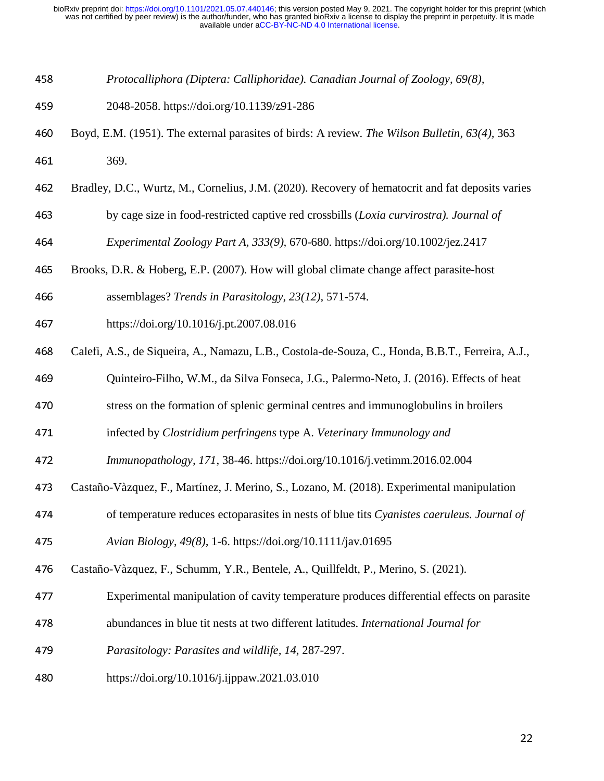- *Protocalliphora (Diptera: Calliphoridae). Canadian Journal of Zoology*, *69(8),*
- 2048-2058. https://doi.org/10.1139/z91-286
- Boyd, E.M. (1951). The external parasites of birds: A review. *The Wilson Bulletin, 63(4),*<sup>363</sup> 461 369.
- Bradley, D.C., Wurtz, M., Cornelius, J.M. (2020). Recovery of hematocrit and fat deposits varies
- by cage size in food-restricted captive red crossbills (*Loxia curvirostra). Journal of*

*Experimental Zoology Part A, 333(9),* 670-680. https://doi.org/10.1002/jez.2417

- 465 Brooks, D.R. & Hoberg, E.P. (2007). How will global climate change affect parasite-host
- assemblages? *Trends in Parasitology*, *23(12),* 571-574.
- https://doi.org/10.1016/j.pt.2007.08.016
- 468 Calefi, A.S., de Siqueira, A., Namazu, L.B., Costola-de-Souza, C., Honda, B.B.T., Ferreira, A.J.,
- 469 Quinteiro-Filho, W.M., da Silva Fonseca, J.G., Palermo-Neto, J. (2016). Effects of heat
- 470 stress on the formation of splenic germinal centres and immunoglobulins in broilers
- infected by *Clostridium perfringens* type A. *Veterinary Immunology and*
- *Immunopathology, 171*, 38-46. https://doi.org/10.1016/j.vetimm.2016.02.004
- 473 Castaño-Vàzquez, F., Martínez, J. Merino, S., Lozano, M. (2018). Experimental manipulation
- of temperature reduces ectoparasites in nests of blue tits *Cyanistes caeruleus. Journal of*
- *Avian Biology*, *49(8),* 1-6. https://doi.org/10.1111/jav.01695
- 476 Castaño-Vàzquez, F., Schumm, Y.R., Bentele, A., Quillfeldt, P., Merino, S. (2021).
- Experimental manipulation of cavity temperature produces differential effects on parasite
- abundances in blue tit nests at two different latitudes. *International Journal for*
- *Parasitology: Parasites and wildlife, 14*, 287-297.
- https://doi.org/10.1016/j.ijppaw.2021.03.010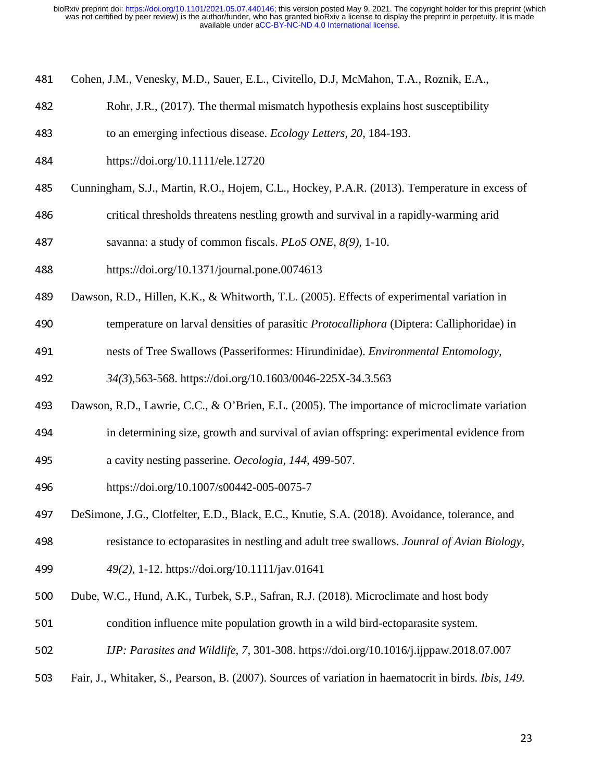- 481 Cohen, J.M., Venesky, M.D., Sauer, E.L., Civitello, D.J, McMahon, T.A., Roznik, E.A.,
- 482 Rohr, J.R., (2017). The thermal mismatch hypothesis explains host susceptibility
- <sup>483</sup>to an emerging infectious disease. *Ecology Letters, 20,* 184-193.
- <sup>484</sup>https://doi.org/10.1111/ele.12720
- 485 Cunningham, S.J., Martin, R.O., Hojem, C.L., Hockey, P.A.R. (2013). Temperature in excess of
- 486 critical thresholds threatens nestling growth and survival in a rapidly-warming arid
- <sup>487</sup>savanna: a study of common fiscals. *PLoS ONE, 8(9),* 1-10.
- <sup>488</sup>https://doi.org/10.1371/journal.pone.0074613
- 489 Dawson, R.D., Hillen, K.K., & Whitworth, T.L. (2005). Effects of experimental variation in
- <sup>490</sup>temperature on larval densities of parasitic *Protocalliphora* (Diptera: Calliphoridae) in
- <sup>491</sup>nests of Tree Swallows (Passeriformes: Hirundinidae). *Environmental Entomology,*

<sup>492</sup>*34(3*)*,*563-568. https://doi.org/10.1603/0046-225X-34.3.563

- 493 Dawson, R.D., Lawrie, C.C., & O'Brien, E.L. (2005). The importance of microclimate variation
- 494 in determining size, growth and survival of avian offspring: experimental evidence from <sup>495</sup>a cavity nesting passerine. *Oecologia, 144,* 499-507.
- <sup>496</sup>https://doi.org/10.1007/s00442-005-0075-7
- 497 DeSimone, J.G., Clotfelter, E.D., Black, E.C., Knutie, S.A. (2018). Avoidance, tolerance, and

<sup>498</sup>resistance to ectoparasites in nestling and adult tree swallows. *Jounral of Avian Biology,* 

- <sup>499</sup>*49(2),* 1-12. https://doi.org/10.1111/jav.01641
- 500 Dube, W.C., Hund, A.K., Turbek, S.P., Safran, R.J. (2018). Microclimate and host body
- 501 condition influence mite population growth in a wild bird-ectoparasite system.
- <sup>502</sup>*IJP: Parasites and Wildlife, 7,* 301-308. https://doi.org/10.1016/j.ijppaw.2018.07.007
- <sup>503</sup>Fair, J., Whitaker, S., Pearson, B. (2007). Sources of variation in haematocrit in birds. *Ibis, 149.*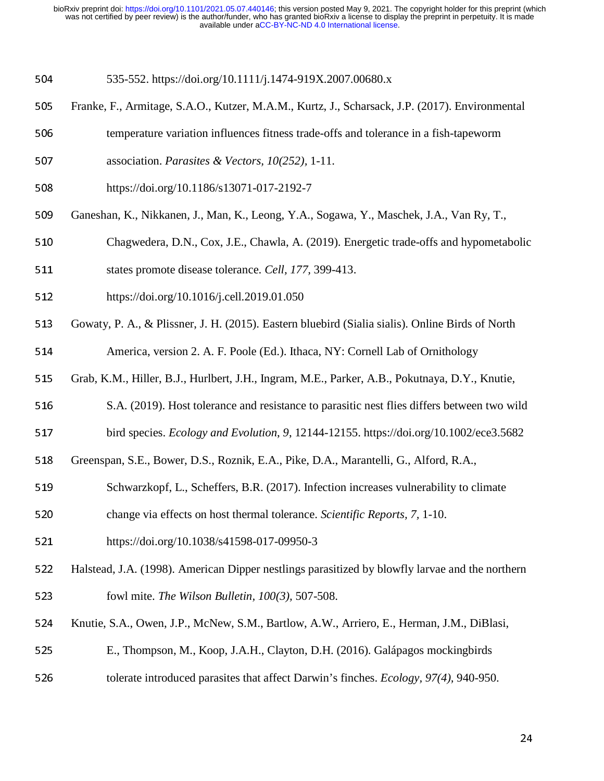504 535-552. https://doi.org/10.1111/j.1474-919X.2007.00680.x

- 505 Franke, F., Armitage, S.A.O., Kutzer, M.A.M., Kurtz, J., Scharsack, J.P. (2017). Environmental
- 506 temperature variation influences fitness trade-offs and tolerance in a fish-tapeworm
- 507 association. *Parasites & Vectors, 10(252), 1-11.*
- <sup>508</sup>https://doi.org/10.1186/s13071-017-2192-7
- <sup>509</sup>Ganeshan, K., Nikkanen, J., Man, K., Leong, Y.A., Sogawa, Y., Maschek, J.A., Van Ry, T.,
- 510 Chagwedera, D.N., Cox, J.E., Chawla, A. (2019). Energetic trade-offs and hypometabolic
- 511 states promote disease tolerance. *Cell, 177, 399-413.*
- 512 https://doi.org/10.1016/j.cell.2019.01.050
- 513 Gowaty, P. A., & Plissner, J. H. (2015). Eastern bluebird (Sialia sialis). Online Birds of North

514 America, version 2. A. F. Poole (Ed.). Ithaca, NY: Cornell Lab of Ornithology

- 515 Grab, K.M., Hiller, B.J., Hurlbert, J.H., Ingram, M.E., Parker, A.B., Pokutnaya, D.Y., Knutie,
- 516 S.A. (2019). Host tolerance and resistance to parasitic nest flies differs between two wild
- 517 bird species. *Ecology and Evolution*, *9*, 12144-12155. https://doi.org/10.1002/ece3.5682
- 518 Greenspan, S.E., Bower, D.S., Roznik, E.A., Pike, D.A., Marantelli, G., Alford, R.A.,
- 519 Schwarzkopf, L., Scheffers, B.R. (2017). Infection increases vulnerability to climate
- 520 change via effects on host thermal tolerance. *Scientific Reports*, 7, 1-10.
- 521 https://doi.org/10.1038/s41598-017-09950-3
- 522 Halstead, J.A. (1998). American Dipper nestlings parasitized by blowfly larvae and the northern <sup>523</sup>fowl mite. *The Wilson Bulletin, 100(3),* 507-508.
- 524 Knutie, S.A., Owen, J.P., McNew, S.M., Bartlow, A.W., Arriero, E., Herman, J.M., DiBlasi,
- <sup>525</sup>E., Thompson, M., Koop, J.A.H., Clayton, D.H. (2016). Galápagos mockingbirds
- 526 tolerate introduced parasites that affect Darwin's finches. *Ecology*, 97(4), 940-950.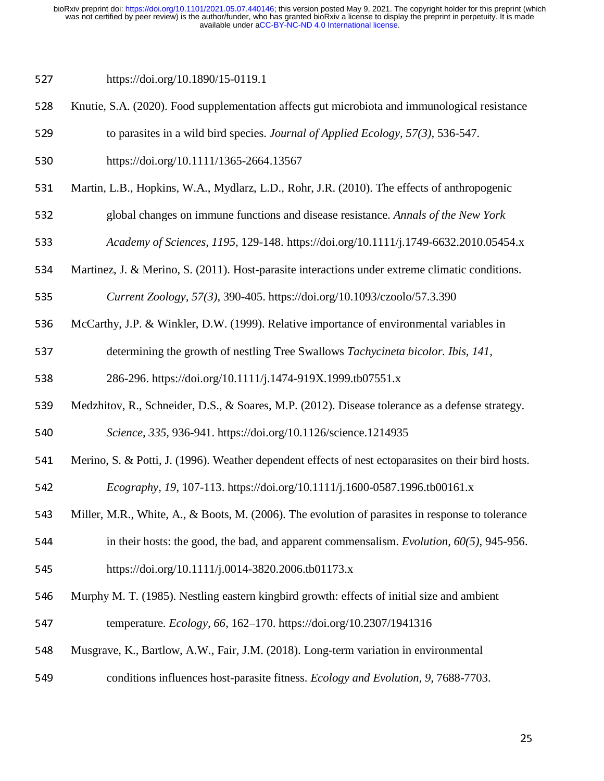527 https://doi.org/10.1890/15-0119.1

- 528 Knutie, S.A. (2020). Food supplementation affects gut microbiota and immunological resistance
- 529 to parasites in a wild bird species. *Journal of Applied Ecology*, 57(3), 536-547.
- 530 https://doi.org/10.1111/1365-2664.13567
- 531 Martin, L.B., Hopkins, W.A., Mydlarz, L.D., Rohr, J.R. (2010). The effects of anthropogenic
- <sup>532</sup>global changes on immune functions and disease resistance. *Annals of the New York*
- <sup>533</sup>*Academy of Sciences, 1195,* 129-148. https://doi.org/10.1111/j.1749-6632.2010.05454.x
- 534 Martinez, J. & Merino, S. (2011). Host-parasite interactions under extreme climatic conditions.

<sup>535</sup>*Current Zoology, 57(3)*, 390-405. https://doi.org/10.1093/czoolo/57.3.390

- 536 McCarthy, J.P. & Winkler, D.W. (1999). Relative importance of environmental variables in
- 537 determining the growth of nestling Tree Swallows *Tachycineta bicolor. Ibis, 141,*

538 286-296. https://doi.org/10.1111/j.1474-919X.1999.tb07551.x

539 Medzhitov, R., Schneider, D.S., & Soares, M.P. (2012). Disease tolerance as a defense strategy.

<sup>540</sup>*Science, 335,* 936-941. https://doi.org/10.1126/science.1214935

- 541 Merino, S. & Potti, J. (1996). Weather dependent effects of nest ectoparasites on their bird hosts.
- <sup>542</sup>*Ecography, 19*, 107-113. https://doi.org/10.1111/j.1600-0587.1996.tb00161.x
- 543 Miller, M.R., White, A., & Boots, M. (2006). The evolution of parasites in response to tolerance
- 544 in their hosts: the good, the bad, and apparent commensalism. *Evolution, 60(5),* 945-956.
- 545 https://doi.org/10.1111/j.0014-3820.2006.tb01173.x
- 546 Murphy M. T. (1985). Nestling eastern kingbird growth: effects of initial size and ambient
- 547 temperature. *Ecology, 66, 162–170. https://doi.org/10.2307/1941316*
- 548 Musgrave, K., Bartlow, A.W., Fair, J.M. (2018). Long-term variation in environmental
- 549 conditions influences host-parasite fitness. *Ecology and Evolution*, 9, 7688-7703.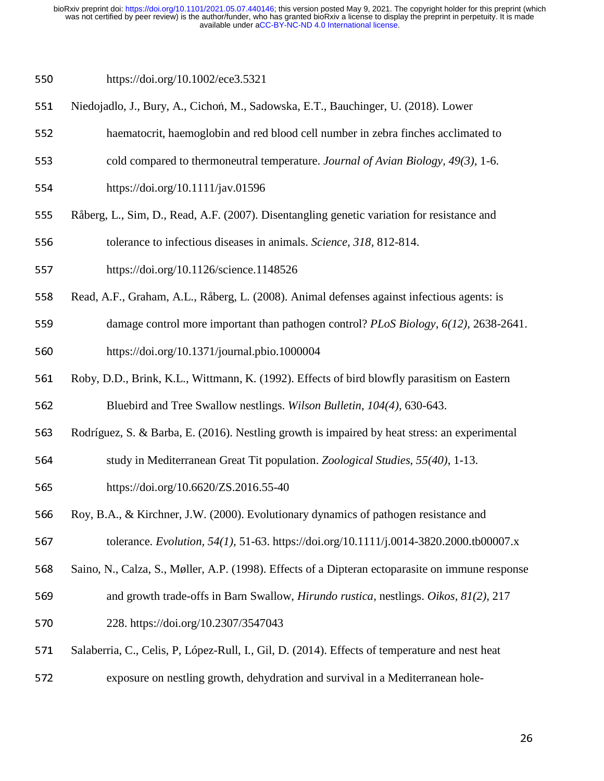## 550 https://doi.org/10.1002/ece3.5321

- 551 Niedojadlo, J., Bury, A., Cichoń, M., Sadowska, E.T., Bauchinger, U. (2018). Lower
- <sup>552</sup>haematocrit, haemoglobin and red blood cell number in zebra finches acclimated to
- 553 cold compared to thermoneutral temperature. *Journal of Avian Biology, 49(3)*, 1-6.
- 554 https://doi.org/10.1111/jav.01596
- 555 Råberg, L., Sim, D., Read, A.F. (2007). Disentangling genetic variation for resistance and
- 556 tolerance to infectious diseases in animals. *Science*, 318, 812-814.
- 557 https://doi.org/10.1126/science.1148526
- 558 Read, A.F., Graham, A.L., Råberg, L. (2008). Animal defenses against infectious agents: is
- 559 damage control more important than pathogen control? *PLoS Biology, 6(12), 2638-2641*. <sup>560</sup>https://doi.org/10.1371/journal.pbio.1000004
- 561 Roby, D.D., Brink, K.L., Wittmann, K. (1992). Effects of bird blowfly parasitism on Eastern
- <sup>562</sup>Bluebird and Tree Swallow nestlings. *Wilson Bulletin, 104(4),* 630-643.
- 563 Rodríguez, S. & Barba, E. (2016). Nestling growth is impaired by heat stress: an experimental
- <sup>564</sup>study in Mediterranean Great Tit population. *Zoological Studies, 55(40)*, 1-13.
- 565 https://doi.org/10.6620/ZS.2016.55-40
- 566 Roy, B.A., & Kirchner, J.W. (2000). Evolutionary dynamics of pathogen resistance and

567 tolerance. *Evolution, 54(1), 51-63.* https://doi.org/10.1111/j.0014-3820.2000.tb00007.x

- 568 Saino, N., Calza, S., Møller, A.P. (1998). Effects of a Dipteran ectoparasite on immune response
- 569 and growth trade-offs in Barn Swallow, *Hirundo rustica*, nestlings. *Oikos, 81(2), 217*
- <sup>570</sup>228. https://doi.org/10.2307/3547043
- 571 Salaberria, C., Celis, P., López-Rull, I., Gil, D. (2014). Effects of temperature and nest heat
- 572 exposure on nestling growth, dehydration and survival in a Mediterranean hole-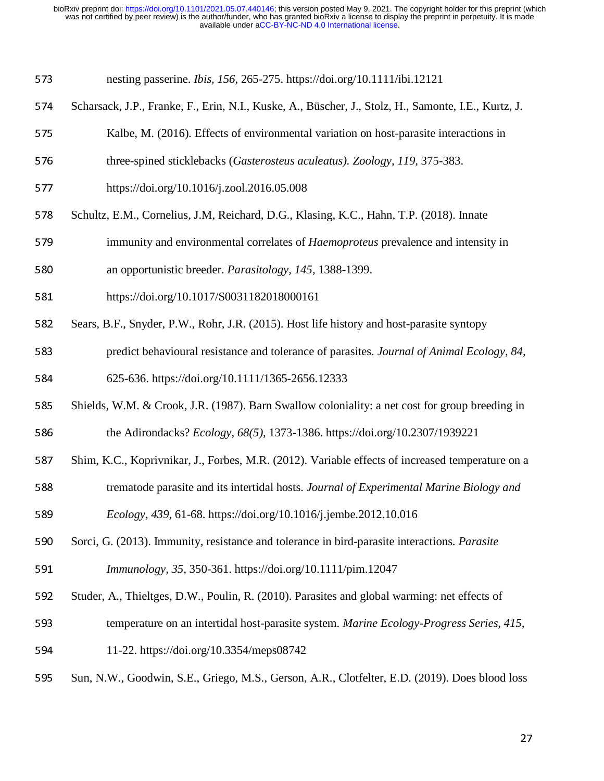| 573 | nesting passerine. <i>Ibis, 156, 265-275</i> . https://doi.org/10.1111/ibi.12121 |  |  |
|-----|----------------------------------------------------------------------------------|--|--|
|     |                                                                                  |  |  |

- 574 Scharsack, J.P., Franke, F., Erin, N.I., Kuske, A., Büscher, J., Stolz, H., Samonte, I.E., Kurtz, J.
- 575 Kalbe, M. (2016). Effects of environmental variation on host-parasite interactions in
- 576 three-spined sticklebacks (*Gasterosteus aculeatus*). Zoology, 119, 375-383.
- 577 https://doi.org/10.1016/j.zool.2016.05.008
- 578 Schultz, E.M., Cornelius, J.M. Reichard, D.G., Klasing, K.C., Hahn, T.P. (2018). Innate
- 579 immunity and environmental correlates of *Haemoproteus* prevalence and intensity in
- <sup>580</sup>an opportunistic breeder. *Parasitology, 145,* 1388-1399.
- 581 https://doi.org/10.1017/S0031182018000161
- 582 Sears, B.F., Snyder, P.W., Rohr, J.R. (2015). Host life history and host-parasite syntopy
- 583 predict behavioural resistance and tolerance of parasites. *Journal of Animal Ecology, 84,*  $\overline{a}$ 584 625-636. https://doi.org/10.1111/1365-2656.12333
- 585 Shields, W.M. & Crook, J.R. (1987). Barn Swallow coloniality: a net cost for group breeding in 586 the Adirondacks? *Ecology, 68(5),* 1373-1386. https://doi.org/10.2307/1939221
- 587 Shim, K.C., Koprivnikar, J., Forbes, M.R. (2012). Variable effects of increased temperature on a
- 588 trematode parasite and its intertidal hosts. *Journal of Experimental Marine Biology and*
- <sup>589</sup>*Ecology, 439,* 61-68. https://doi.org/10.1016/j.jembe.2012.10.016
- 590 Sorci, G. (2013). Immunity, resistance and tolerance in bird-parasite interactions. *Parasite* <sup>591</sup>*Immunology, 35,* 350-361. https://doi.org/10.1111/pim.12047
- 592 Studer, A., Thieltges, D.W., Poulin, R. (2010). Parasites and global warming: net effects of
- 593 temperature on an intertidal host-parasite system. *Marine Ecology-Progress Series, 415,*
- 594 11-22. https://doi.org/10.3354/meps08742
- 595 Sun, N.W., Goodwin, S.E., Griego, M.S., Gerson, A.R., Clotfelter, E.D. (2019). Does blood loss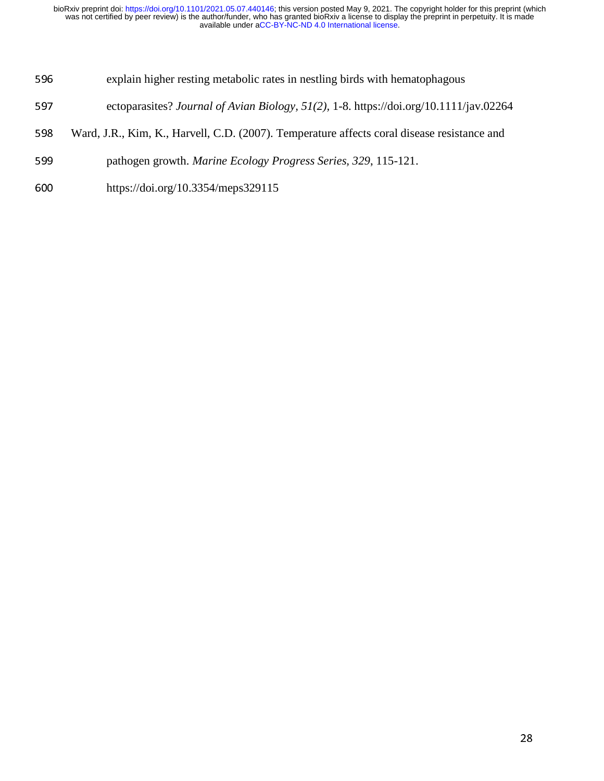- 596 explain higher resting metabolic rates in nestling birds with hematophagous
- 597 ectoparasites? *Journal of Avian Biology, 51(2), 1-8. https://doi.org/10.1111/jav.02264*
- <sup>598</sup>Ward, J.R., Kim, K., Harvell, C.D. (2007). Temperature affects coral disease resistance and
- 599 pathogen growth. *Marine Ecology Progress Series, 329*, 115-121.
- <sup>600</sup>https://doi.org/10.3354/meps329115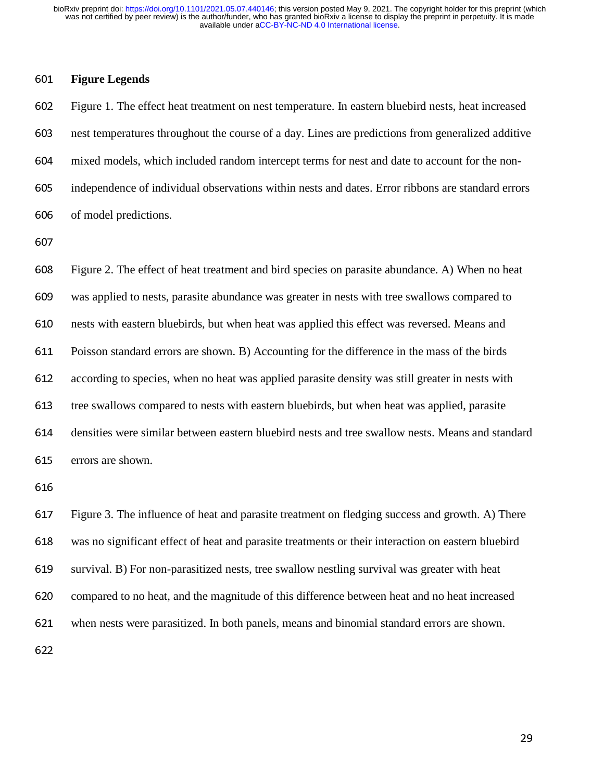### <sup>601</sup>**Figure Legends**

Figure 1. The effect heat treatment on nest temperature. In eastern bluebird nests, heat increased nest temperatures throughout the course of a day. Lines are predictions from generalized additive mixed models, which included random intercept terms for nest and date to account for the non-independence of individual observations within nests and dates. Error ribbons are standard errors 606 of model predictions.

607

<sup>608</sup>Figure 2. The effect of heat treatment and bird species on parasite abundance. A) When no heat <sup>609</sup>was applied to nests, parasite abundance was greater in nests with tree swallows compared to 610 nests with eastern bluebirds, but when heat was applied this effect was reversed. Means and 611 Poisson standard errors are shown. B) Accounting for the difference in the mass of the birds 612 according to species, when no heat was applied parasite density was still greater in nests with 613 tree swallows compared to nests with eastern bluebirds, but when heat was applied, parasite 614 densities were similar between eastern bluebird nests and tree swallow nests. Means and standard 615 errors are shown.

616

617 Figure 3. The influence of heat and parasite treatment on fledging success and growth. A) There <sup>618</sup>was no significant effect of heat and parasite treatments or their interaction on eastern bluebird 619 survival. B) For non-parasitized nests, tree swallow nestling survival was greater with heat 620 compared to no heat, and the magnitude of this difference between heat and no heat increased 621 when nests were parasitized. In both panels, means and binomial standard errors are shown. 622

 $29<sub>2</sub>$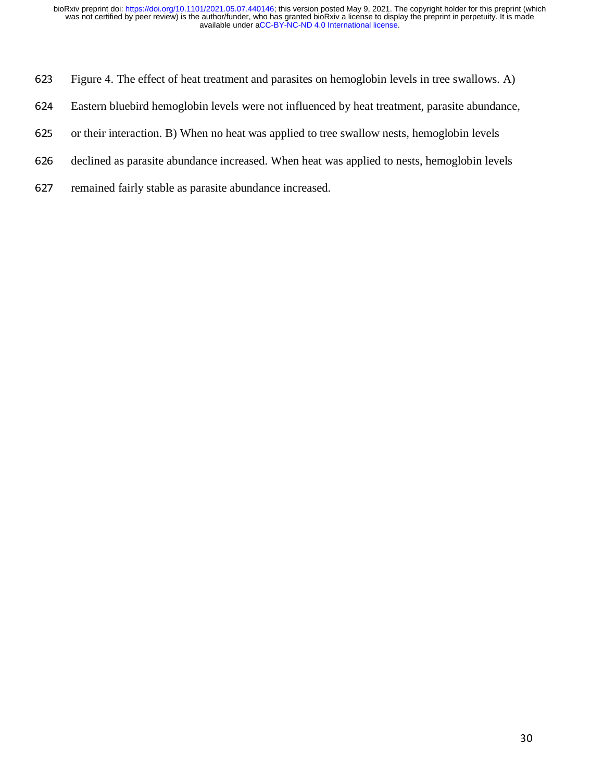- 623 Figure 4. The effect of heat treatment and parasites on hemoglobin levels in tree swallows. A)
- 624 Eastern bluebird hemoglobin levels were not influenced by heat treatment, parasite abundance,
- 625 or their interaction. B) When no heat was applied to tree swallow nests, hemoglobin levels
- 626 declined as parasite abundance increased. When heat was applied to nests, hemoglobin levels
- 627 remained fairly stable as parasite abundance increased.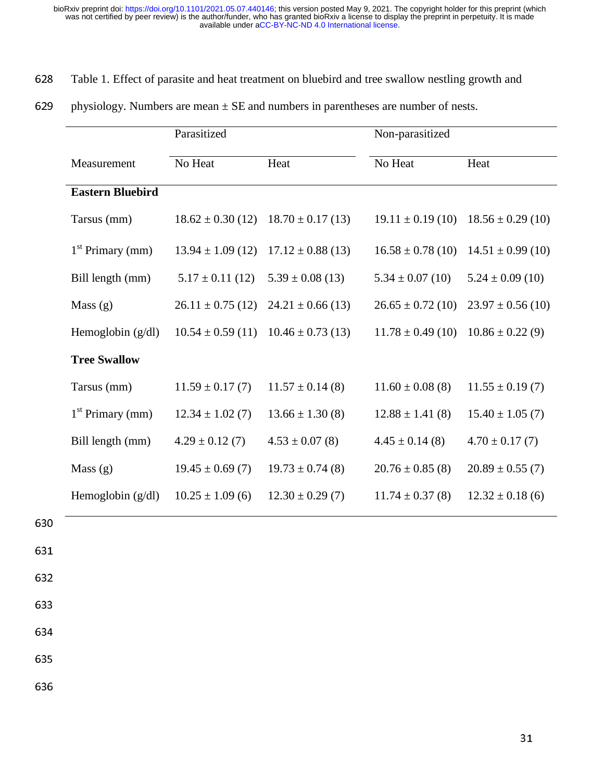# 628 Table 1. Effect of parasite and heat treatment on bluebird and tree swallow nestling growth and

|                         | Parasitized           |                       | Non-parasitized       |                       |
|-------------------------|-----------------------|-----------------------|-----------------------|-----------------------|
| Measurement             | No Heat               | Heat                  | No Heat               | Heat                  |
| <b>Eastern Bluebird</b> |                       |                       |                       |                       |
| Tarsus (mm)             | $18.62 \pm 0.30$ (12) | $18.70 \pm 0.17(13)$  | $19.11 \pm 0.19$ (10) | $18.56 \pm 0.29$ (10) |
| $1st$ Primary (mm)      | $13.94 \pm 1.09$ (12) | $17.12 \pm 0.88$ (13) | $16.58 \pm 0.78$ (10) | $14.51 \pm 0.99$ (10) |
| Bill length (mm)        | $5.17 \pm 0.11$ (12)  | $5.39 \pm 0.08$ (13)  | $5.34 \pm 0.07$ (10)  | $5.24 \pm 0.09$ (10)  |
| Mass(g)                 | $26.11 \pm 0.75$ (12) | $24.21 \pm 0.66$ (13) | $26.65 \pm 0.72$ (10) | $23.97 \pm 0.56(10)$  |
| Hemoglobin $(g/dl)$     | $10.54 \pm 0.59(11)$  | $10.46 \pm 0.73$ (13) | $11.78 \pm 0.49$ (10) | $10.86 \pm 0.22$ (9)  |
| <b>Tree Swallow</b>     |                       |                       |                       |                       |
| Tarsus (mm)             | $11.59 \pm 0.17(7)$   | $11.57 \pm 0.14$ (8)  | $11.60 \pm 0.08$ (8)  | $11.55 \pm 0.19(7)$   |
| $1st$ Primary (mm)      | $12.34 \pm 1.02$ (7)  | $13.66 \pm 1.30(8)$   | $12.88 \pm 1.41$ (8)  | $15.40 \pm 1.05$ (7)  |
| Bill length (mm)        | $4.29 \pm 0.12$ (7)   | $4.53 \pm 0.07$ (8)   | $4.45 \pm 0.14$ (8)   | $4.70 \pm 0.17$ (7)   |
| Mass(g)                 | $19.45 \pm 0.69(7)$   | $19.73 \pm 0.74$ (8)  | $20.76 \pm 0.85$ (8)  | $20.89 \pm 0.55(7)$   |
| Hemoglobin $(g/dl)$     | $10.25 \pm 1.09$ (6)  | $12.30 \pm 0.29(7)$   | $11.74 \pm 0.37$ (8)  | $12.32 \pm 0.18$ (6)  |

629 physiology. Numbers are mean  $\pm$  SE and numbers in parentheses are number of nests.

630

631

632

633

634

635

636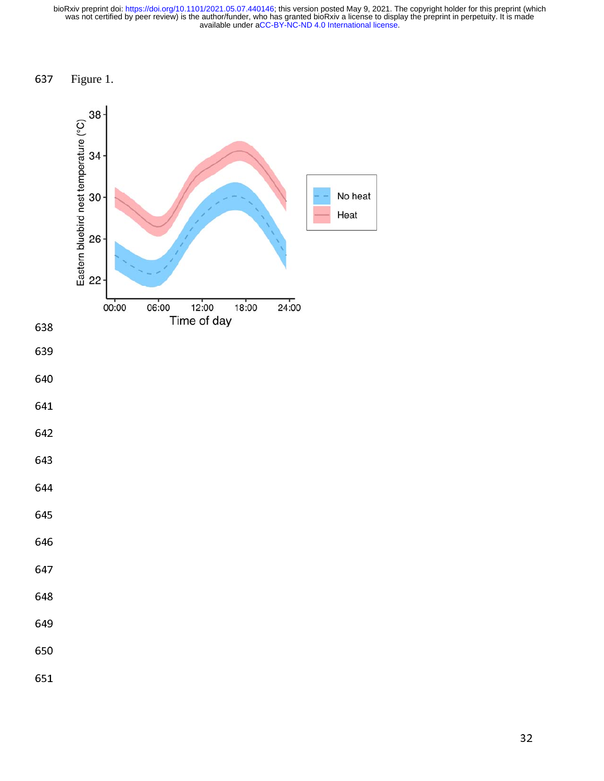637 Figure 1.

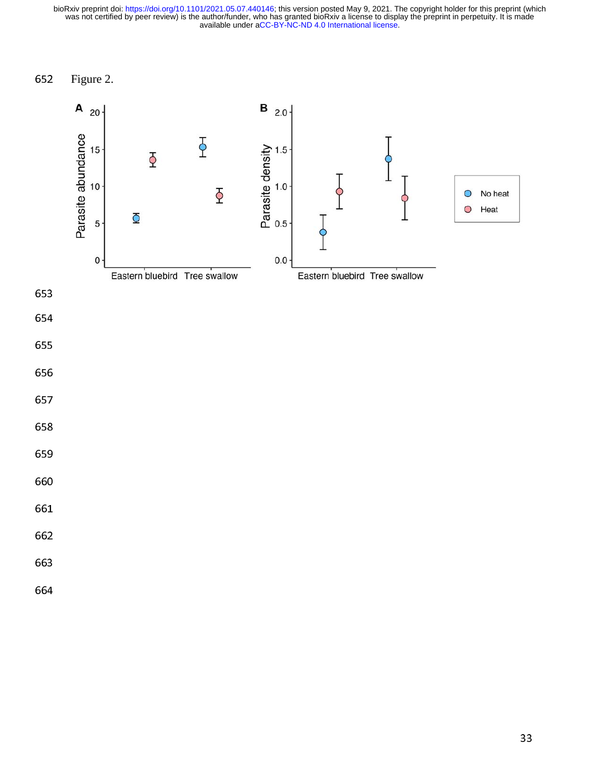652 Figure 2.

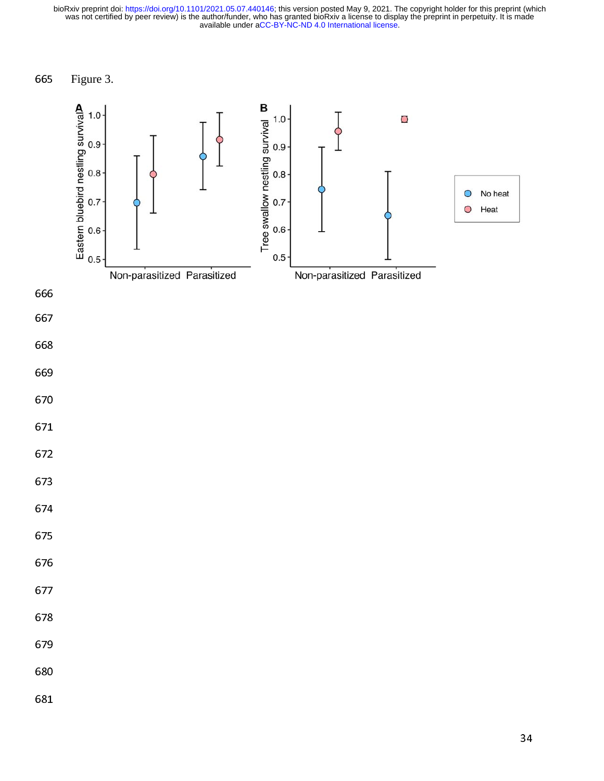